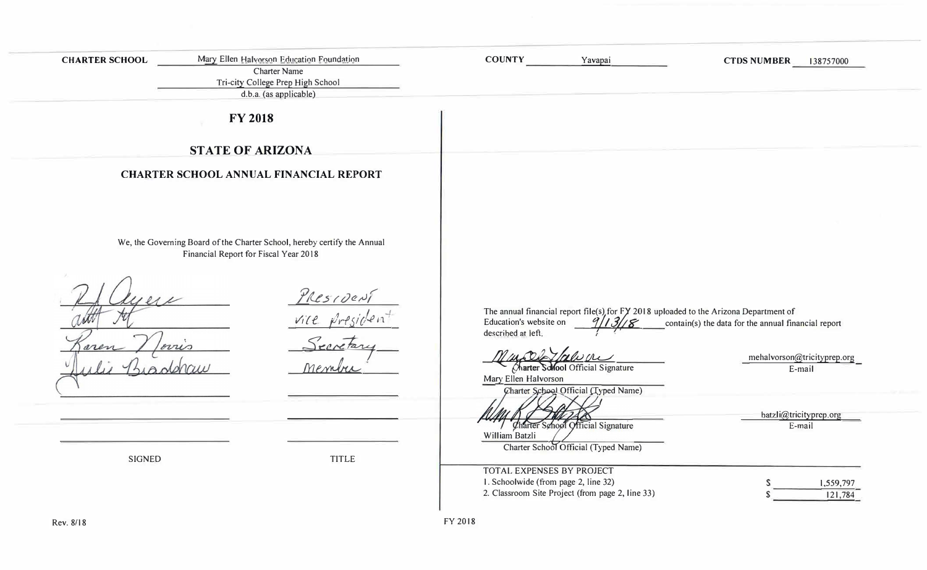| <b>CHARTER SCHOOL</b> | Mary Ellen Halvorson Education Foundation<br><b>Charter Name</b><br>Tri-city College Prep High School<br>d.b.a. (as applicable) | <b>COUNTY</b><br>Yavapai                                                                                                                                | <b>CTDS NUMBER</b><br>138757000                                 |
|-----------------------|---------------------------------------------------------------------------------------------------------------------------------|---------------------------------------------------------------------------------------------------------------------------------------------------------|-----------------------------------------------------------------|
|                       | <b>FY 2018</b>                                                                                                                  |                                                                                                                                                         |                                                                 |
|                       | <b>STATE OF ARIZONA</b>                                                                                                         |                                                                                                                                                         |                                                                 |
|                       | <b>CHARTER SCHOOL ANNUAL FINANCIAL REPORT</b>                                                                                   |                                                                                                                                                         |                                                                 |
|                       | We, the Governing Board of the Charter School, hereby certify the Annual<br>Financial Report for Fiscal Year 2018               |                                                                                                                                                         |                                                                 |
|                       | PRESIDENT<br>Vill Priside<br>$\ell\nu\nu\Lambda$                                                                                | The annual financial report file(s) for FY 2018 uploaded to the Arizona Department of<br>Education's website on<br>1131/8<br>described at left.<br>rown | contain(s) the data for the annual financial report             |
|                       | rember                                                                                                                          | Charter School Official Signature<br>Mary Ellen Halvorson<br>Charter School Official (Typed Name)                                                       | mehalvorson@tricityprep.org<br>E-mail<br>batzli@tricityprep.org |
| SIGNED                | <b>TITLE</b>                                                                                                                    | Charter School Official Signature<br>William Batzli<br>Charter School Official (Typed Name)<br>TOTAL EXPENSES BY PROJECT                                | E-mail                                                          |
| Rev. 8/18             |                                                                                                                                 | 1. Schoolwide (from page 2, line 32)<br>2. Classroom Site Project (from page 2, line 33)<br>FY 2018                                                     | S<br>1,559,797<br>121,784                                       |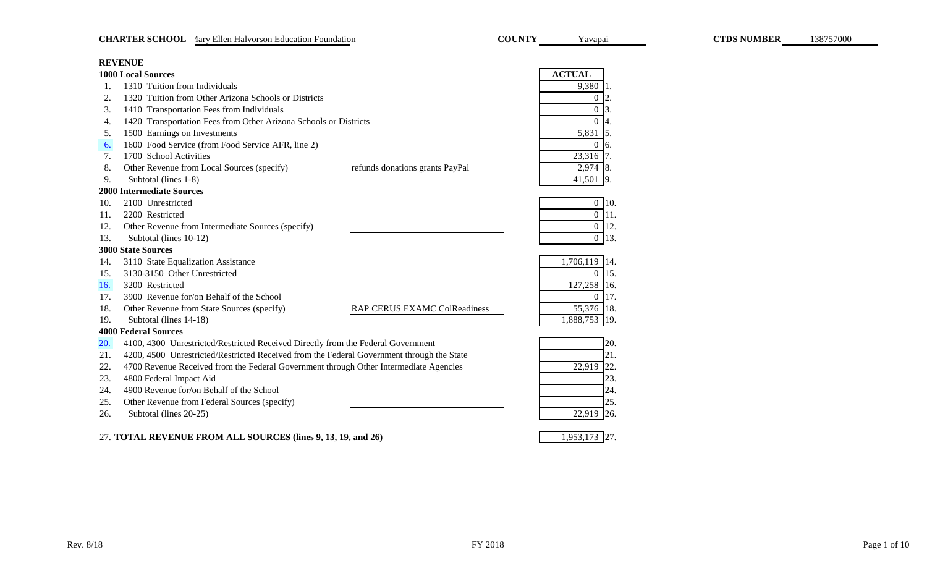|     | <b>REVENUE</b>                                                                            |                            |
|-----|-------------------------------------------------------------------------------------------|----------------------------|
|     | <b>1000 Local Sources</b>                                                                 | <b>ACTUAL</b>              |
| 1.  | 1310 Tuition from Individuals                                                             | 9,380 1.                   |
| 2.  | 1320 Tuition from Other Arizona Schools or Districts                                      | $0\vert 2.$                |
| 3.  | 1410 Transportation Fees from Individuals                                                 | $\Omega$<br> 3.            |
| 4.  | 1420 Transportation Fees from Other Arizona Schools or Districts                          | $\mathbf{0}$<br>14.        |
| 5.  | 1500 Earnings on Investments                                                              | 5,831<br>$\vert$ 5.        |
| 6.  | 1600 Food Service (from Food Service AFR, line 2)                                         | $\mathbf{0}$<br><b>16.</b> |
| 7.  | 1700 School Activities                                                                    | 23,316<br>17.              |
| 8.  | Other Revenue from Local Sources (specify)<br>refunds donations grants PayPal             | 2,974 8.                   |
| 9.  | Subtotal (lines 1-8)                                                                      | 41,501 9.                  |
|     | <b>2000 Intermediate Sources</b>                                                          |                            |
| 10. | 2100 Unrestricted                                                                         | $0$ 10.                    |
| 11. | 2200 Restricted                                                                           | $0$ 11.                    |
| 12. | Other Revenue from Intermediate Sources (specify)                                         | $0 \vert 12.$              |
| 13. | Subtotal (lines 10-12)                                                                    | 13.<br>$\overline{0}$      |
|     | <b>3000 State Sources</b>                                                                 |                            |
| 14. | 3110 State Equalization Assistance                                                        | 1,706,119 14.              |
| 15. | 3130-3150 Other Unrestricted                                                              | 15.<br>$\Omega$            |
| 16. | 3200 Restricted                                                                           | 127,258<br> 16.            |
| 17. | 3900 Revenue for/on Behalf of the School                                                  | $\mathbf{0}$<br>17.        |
| 18. | Other Revenue from State Sources (specify)<br>RAP CERUS EXAMC ColReadiness                | 55,376 18.                 |
| 19. | Subtotal (lines 14-18)                                                                    | 1,888,753<br>19.           |
|     | <b>4000 Federal Sources</b>                                                               |                            |
| 20. | 4100, 4300 Unrestricted/Restricted Received Directly from the Federal Government          | 20.                        |
| 21. | 4200, 4500 Unrestricted/Restricted Received from the Federal Government through the State | 21.                        |
| 22. | 4700 Revenue Received from the Federal Government through Other Intermediate Agencies     | 22,919<br>22.              |
| 23. | 4800 Federal Impact Aid                                                                   | 23.                        |
| 24. | 4900 Revenue for/on Behalf of the School                                                  | 24.                        |
| 25. | Other Revenue from Federal Sources (specify)                                              | 25.                        |
| 26. | Subtotal (lines 20-25)                                                                    | 22,919<br>26.              |
|     |                                                                                           |                            |
|     | $27.00011$ DEVENIUE EDOM ITT COUDOEC $0! = 0.12, 10$                                      | $1.052172$ $27$            |

27. 1,953,173 27. **TOTAL REVENUE FROM ALL SOURCES (lines 9, 13, 19, and 26)**

Yavapai

138757000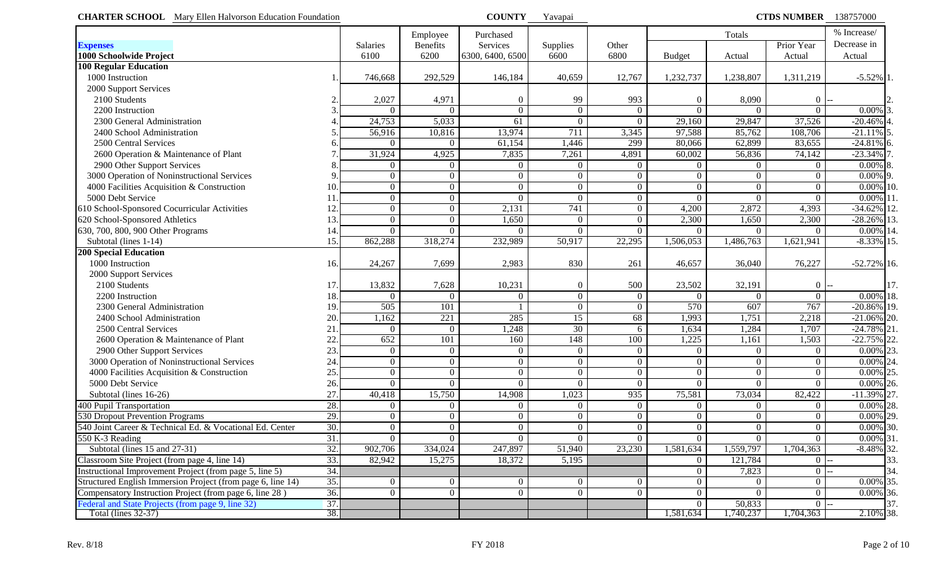| <b>CHARTER SCHOOL</b> Mary Ellen Halvorson Education Foundation |     |                |                 | <b>COUNTY</b>    | Yavapai          |                 |                | <b>CTDS NUMBER</b> 138757000 |                  |                |  |  |
|-----------------------------------------------------------------|-----|----------------|-----------------|------------------|------------------|-----------------|----------------|------------------------------|------------------|----------------|--|--|
|                                                                 |     |                | Employee        | Purchased        |                  |                 |                | Totals                       |                  | % Increase/    |  |  |
| <b>Expenses</b>                                                 |     | Salaries       | <b>Benefits</b> | Services         | Supplies         | Other           |                |                              | Prior Year       | Decrease in    |  |  |
| 1000 Schoolwide Project                                         |     | 6100           | 6200            | 6300, 6400, 6500 | 6600             | 6800            | <b>Budget</b>  | Actual                       | Actual           | Actual         |  |  |
| <b>100 Regular Education</b>                                    |     |                |                 |                  |                  |                 |                |                              |                  |                |  |  |
| 1000 Instruction                                                |     | 746,668        | 292,529         | 146,184          | 40,659           | 12,767          | 1,232,737      | 1,238,807                    | 1,311,219        | $-5.52\%$ 1    |  |  |
| 2000 Support Services                                           |     |                |                 |                  |                  |                 |                |                              |                  |                |  |  |
| 2100 Students                                                   |     | 2,027          | 4,971           | $\boldsymbol{0}$ | 99               | 993             | $\Omega$       | 8,090                        | $\mathbf{0}$     |                |  |  |
| 2200 Instruction                                                |     | $\Omega$       | $\Omega$        | $\overline{0}$   | $\overline{0}$   | $\overline{0}$  | $\Omega$       | $\Omega$                     | $\theta$         | $0.00\%$ 3     |  |  |
| 2300 General Administration                                     |     | 24,753         | 5,033           | 61               | $\Omega$         | $\Omega$        | 29,160         | 29,847                       | 37,526           | $-20.46%$      |  |  |
| 2400 School Administration                                      |     | 56,916         | 10,816          | 13,974           | 711              | 3,345           | 97,588         | 85,762                       | 108,706          | $-21.11\%$ 5   |  |  |
| 2500 Central Services                                           |     | $\Omega$       | $\overline{0}$  | 61,154           | 1,446            | 299             | 80,066         | 62,899                       | 83,655           | $-24.81\%$ 6   |  |  |
| 2600 Operation & Maintenance of Plant                           |     | 31,924         | 4,925           | 7,835            | 7,261            | 4,891           | 60,002         | 56,836                       | 74,142           | $-23.34\%$ 7   |  |  |
| 2900 Other Support Services                                     |     | $\Omega$       | $\overline{0}$  | $\overline{0}$   | $\Omega$         | $\overline{0}$  | $\Omega$       | $\overline{0}$               | $\Omega$         | $0.00\%$ 8     |  |  |
| 3000 Operation of Noninstructional Services                     |     | $\Omega$       | $\overline{0}$  | $\overline{0}$   | $\Omega$         | $\overline{0}$  | $\overline{0}$ | $\overline{0}$               | $\Omega$         | $0.00\%$ 9.    |  |  |
| 4000 Facilities Acquisition & Construction                      | 10  | $\overline{0}$ | $\overline{0}$  | $\overline{0}$   | $\Omega$         | $\overline{0}$  | $\Omega$       | $\overline{0}$               | $\Omega$         | $0.00\%$ 10.   |  |  |
| 5000 Debt Service                                               |     | $\overline{0}$ | $\overline{0}$  | $\boldsymbol{0}$ | $\Omega$         | $\overline{0}$  | $\Omega$       | $\Omega$                     | $\Omega$         | 0.00%          |  |  |
| 610 School-Sponsored Cocurricular Activities                    | 12  | $\overline{0}$ | $\overline{0}$  | 2,131            | 741              | $\overline{0}$  | 4,200          | 2,872                        | 4,393            | $-34.62\%$ 12  |  |  |
| 620 School-Sponsored Athletics                                  | 13  | $\overline{0}$ | $\overline{0}$  | 1,650            | $\Omega$         | $\overline{0}$  | 2,300          | 1,650                        | 2,300            | $-28.26\%$ 13. |  |  |
| 630, 700, 800, 900 Other Programs                               | 14  | $\Omega$       | $\overline{0}$  | $\theta$         | $\Omega$         | $\overline{0}$  | $\Omega$       | $\Omega$                     | $\Omega$         | $0.00\%$ 14.   |  |  |
| Subtotal (lines 1-14)                                           | 15  | 862,288        | 318,274         | 232,989          | 50,917           | 22,295          | 1,506,053      | 1,486,763                    | 1,621,941        | $-8.33\%$ 15.  |  |  |
| <b>200 Special Education</b>                                    |     |                |                 |                  |                  |                 |                |                              |                  |                |  |  |
| 1000 Instruction                                                | 16. | 24,267         | 7,699           | 2,983            | 830              | 261             | 46,657         | 36,040                       | 76,227           | $-52.72\%$ 16. |  |  |
| 2000 Support Services                                           |     |                |                 |                  |                  |                 |                |                              |                  |                |  |  |
| 2100 Students                                                   | 17  | 13,832         | 7,628           | 10,231           | $\boldsymbol{0}$ | 500             | 23,502         | 32,191                       | $\theta$         | 17.            |  |  |
| 2200 Instruction                                                | 18  | $\Omega$       | $\theta$        | $\Omega$         | $\Omega$         | $\overline{0}$  | $\Omega$       | $\Omega$                     | $\Omega$         | $0.00\%$ 18.   |  |  |
| 2300 General Administration                                     | 19  | 505            | 101             |                  | $\Omega$         | $\overline{0}$  | 570            | 607                          | 767              | $-20.86\%$ 19. |  |  |
| 2400 School Administration                                      | 20  | ,162           | 221             | 285              | 15               | $\overline{68}$ | 1,993          | 1,751                        | 2,218            | $-21.06\%$ 20. |  |  |
| 2500 Central Services                                           | 21  | $\Omega$       | $\overline{0}$  | , 248            | 30               | 6               | 1,634          | 1,284                        | 1,707            | $-24.78\%$ 21. |  |  |
| 2600 Operation & Maintenance of Plant                           | 22  | 652            | 101             | 160              | 148              | 100             | 1,225          | 1,161                        | 1,503            | $-22.75\%$ 22. |  |  |
| 2900 Other Support Services                                     | 23  | $\overline{0}$ | $\overline{0}$  | $\theta$         | $\overline{0}$   | $\overline{0}$  | $\Omega$       | $\overline{0}$               | $\Omega$         | $0.00\%$ 23.   |  |  |
| 3000 Operation of Noninstructional Services                     | 24  | $\overline{0}$ | $\overline{0}$  | $\overline{0}$   | $\overline{0}$   | $\overline{0}$  | $\Omega$       | $\overline{0}$               | $\Omega$         | $0.00\%$ 24.   |  |  |
| 4000 Facilities Acquisition & Construction                      | 25  | $\Omega$       | $\overline{0}$  | $\overline{0}$   | $\overline{0}$   | $\overline{0}$  | $\Omega$       | $\overline{0}$               | $\theta$         | $0.00\%$ 25.   |  |  |
| 5000 Debt Service                                               | 26  | $\Omega$       | $\overline{0}$  | $\theta$         | $\Omega$         | $\overline{0}$  | $\Omega$       | $\Omega$                     | $\Omega$         | $0.00\%$ 26.   |  |  |
| Subtotal (lines 16-26)                                          | 27  | 40,418         | 15,750          | 14,908           | 1,023            | 935             | 75,581         | 73,034                       | 82,422           | $-11.39\%$ 27. |  |  |
| 400 Pupil Transportation                                        | 28  | $\overline{0}$ | $\overline{0}$  | $\overline{0}$   | $\overline{0}$   | $\overline{0}$  | $\Omega$       | $\overline{0}$               | $\theta$         | $0.00\%$ 28.   |  |  |
| 530 Dropout Prevention Programs                                 | 29  | $\overline{0}$ | $\overline{0}$  | $\overline{0}$   | $\overline{0}$   | $\overline{0}$  | $\Omega$       | $\overline{0}$               | $\theta$         | $0.00\%$ 29.   |  |  |
| 540 Joint Career & Technical Ed. & Vocational Ed. Center        | 30. | $\mathbf{0}$   | $\overline{0}$  | $\overline{0}$   | $\overline{0}$   | $\overline{0}$  | $\overline{0}$ | $\vert 0 \vert$              | $\boldsymbol{0}$ | $0.00\%$ 30.   |  |  |
| 550 K-3 Reading                                                 | 31. | $\Omega$       | $\overline{0}$  | $\Omega$         | $\Omega$         | $\Omega$        | $\Omega$       | $\Omega$                     | $\Omega$         | $0.00\%$ 31.   |  |  |
| Subtotal (lines 15 and 27-31)                                   | 32. | 902,706        | 334,024         | 247,897          | 51,940           | 23,230          | 1,581,634      | 1,559,797                    | 1,704,363        | $-8.48\%$ 32.  |  |  |
| Classroom Site Project (from page 4, line 14)                   | 33. | 82,942         | 15,275          | 18,372           | 5,195            |                 | $\overline{0}$ | 121,784                      | $\overline{0}$   | 33.            |  |  |
| Instructional Improvement Project (from page 5, line 5)         | 34. |                |                 |                  |                  |                 | $\Omega$       | 7,823                        | $\boldsymbol{0}$ | 34.            |  |  |
| Structured English Immersion Project (from page 6, line 14)     | 35. | $\Omega$       | $\overline{0}$  | $\overline{0}$   | $\overline{0}$   | $\overline{0}$  | $\Omega$       | $\overline{0}$               | $\overline{0}$   | $0.00\%$ 35.   |  |  |
| Compensatory Instruction Project (from page 6, line 28)         | 36. | $\overline{0}$ | $\overline{0}$  | $\overline{0}$   | $\overline{0}$   | $\overline{0}$  | $\Omega$       | $\overline{0}$               | $\boldsymbol{0}$ | $0.00\%$ 36.   |  |  |
| Federal and State Projects (from page 9, line 32)               | 37. |                |                 |                  |                  |                 | $\Omega$       | 50,833                       | $\overline{0}$   | 37.            |  |  |
| Total (lines $32-37$ )                                          | 38. |                |                 |                  |                  |                 | 1,581,634      | 1,740,237                    | 1,704,363        | 2.10% 38.      |  |  |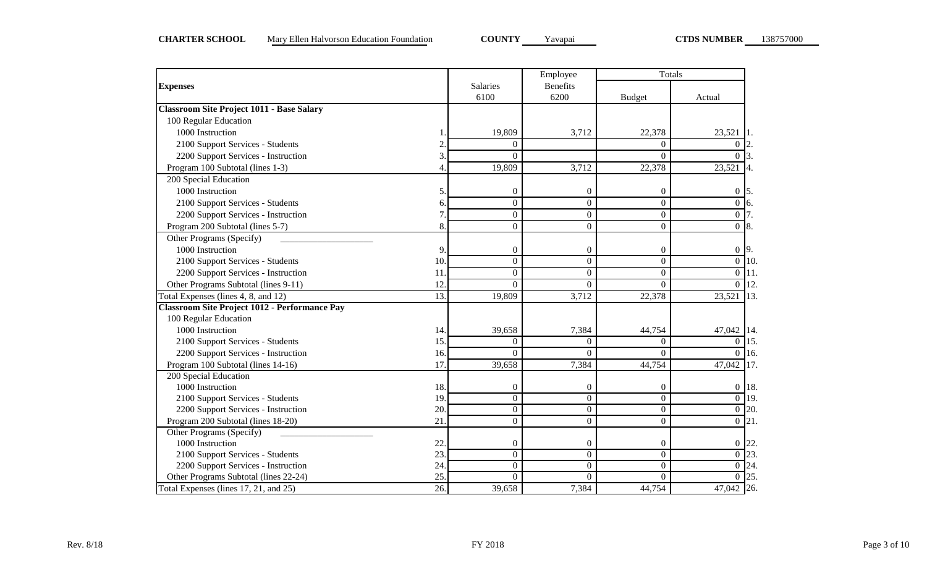|                                                  |     |                  | Employee         | Totals           |                        |
|--------------------------------------------------|-----|------------------|------------------|------------------|------------------------|
| <b>Expenses</b>                                  |     | Salaries         | <b>Benefits</b>  |                  |                        |
|                                                  |     | 6100             | 6200             | <b>Budget</b>    | Actual                 |
| <b>Classroom Site Project 1011 - Base Salary</b> |     |                  |                  |                  |                        |
| 100 Regular Education                            |     |                  |                  |                  |                        |
| 1000 Instruction                                 |     | 19,809           | 3,712            | 22,378           | 23,521                 |
| 2100 Support Services - Students                 |     | $\theta$         |                  | $\Omega$         | $\Omega$               |
| 2200 Support Services - Instruction              | 3   | $\theta$         |                  | $\theta$         | $\Omega$               |
| Program 100 Subtotal (lines 1-3)                 | 4   | 19,809           | 3,712            | 22,378           | 23,521                 |
| 200 Special Education                            |     |                  |                  |                  |                        |
| 1000 Instruction                                 | 5   | $\overline{0}$   | $\theta$         | $\overline{0}$   | $\boldsymbol{0}$<br>5. |
| 2100 Support Services - Students                 | 6.  | $\overline{0}$   | $\Omega$         | $\Omega$         | $\overline{0}$<br>6.   |
| 2200 Support Services - Instruction              |     | $\Omega$         | $\Omega$         | $\theta$         | $\overline{0}$         |
| Program 200 Subtotal (lines 5-7)                 | 8.  | $\boldsymbol{0}$ | $\Omega$         | $\theta$         | $\overline{0}$<br>8.   |
| Other Programs (Specify)                         |     |                  |                  |                  |                        |
| 1000 Instruction                                 | 9   | $\boldsymbol{0}$ | $\mathbf{0}$     | 0                | $0\overline{9}$ .      |
| 2100 Support Services - Students                 | 10  | $\boldsymbol{0}$ | $\mathbf{0}$     | $\overline{0}$   | $\overline{0}$<br>10.  |
| 2200 Support Services - Instruction              | 11  | $\boldsymbol{0}$ | $\boldsymbol{0}$ | $\overline{0}$   | $\overline{0}$<br>11.  |
| Other Programs Subtotal (lines 9-11)             | 12. | $\Omega$         | $\Omega$         | $\theta$         | 12.<br>$\overline{0}$  |
| Total Expenses (lines 4, 8, and 12)              | 13. | 19,809           | 3,712            | 22,378           | 23,521<br>13.          |
| Classroom Site Project 1012 - Performance Pay    |     |                  |                  |                  |                        |
| 100 Regular Education                            |     |                  |                  |                  |                        |
| 1000 Instruction                                 | 14. | 39,658           | 7,384            | 44,754           | 47,042 14.             |
| 2100 Support Services - Students                 | 15  | $\theta$         | $\overline{0}$   | 0                | $\overline{0}$<br>15.  |
| 2200 Support Services - Instruction              | 16. | $\theta$         | $\Omega$         | $\overline{0}$   | $\overline{0}$<br>16.  |
| Program 100 Subtotal (lines 14-16)               | 17  | 39,658           | 7,384            | 44,754           | 47,042<br>17.          |
| 200 Special Education                            |     |                  |                  |                  |                        |
| 1000 Instruction                                 | 18. | 0                | $\mathbf{0}$     | 0                | $0$ 18.                |
| 2100 Support Services - Students                 | 19. | $\boldsymbol{0}$ | $\Omega$         | $\Omega$         | $\overline{0}$ 19.     |
| 2200 Support Services - Instruction              | 20. | $\Omega$         | $\Omega$         | $\overline{0}$   | $\overline{0}$ 20.     |
| Program 200 Subtotal (lines 18-20)               | 21  | $\boldsymbol{0}$ | $\boldsymbol{0}$ | $\boldsymbol{0}$ | $0 \;   21.$           |
| Other Programs (Specify)                         |     |                  |                  |                  |                        |
| 1000 Instruction                                 | 22. | $\boldsymbol{0}$ | $\theta$         | 0                | 22<br>$\overline{0}$   |
| 2100 Support Services - Students                 | 23  | $\boldsymbol{0}$ | $\boldsymbol{0}$ | $\overline{0}$   | $\overline{0}$ 23.     |
| 2200 Support Services - Instruction              | 24  | $\overline{0}$   | $\overline{0}$   | $\boldsymbol{0}$ | $\overline{0}$ 24.     |
| Other Programs Subtotal (lines 22-24)            | 25  | $\overline{0}$   | $\Omega$         | $\theta$         | $\overline{0}$ 25.     |
| Total Expenses (lines 17, 21, and 25)            | 26. | 39,658           | 7,384            | 44,754           | 47,042 26.             |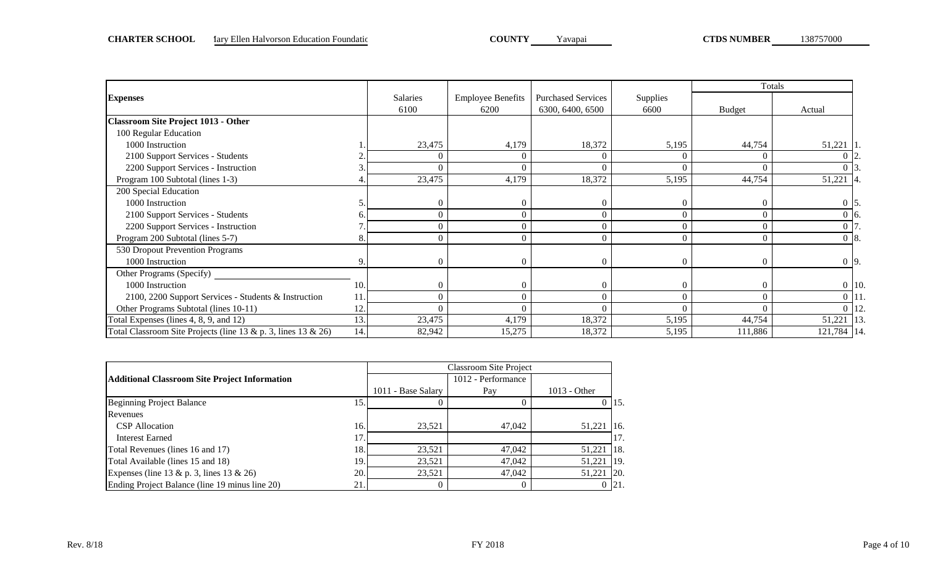|                                                                     |     |          |                          |                           |                 |               | Totals             |  |
|---------------------------------------------------------------------|-----|----------|--------------------------|---------------------------|-----------------|---------------|--------------------|--|
| <b>Expenses</b>                                                     |     | Salaries | <b>Employee Benefits</b> | <b>Purchased Services</b> | <b>Supplies</b> |               |                    |  |
|                                                                     |     | 6100     | 6200                     | 6300, 6400, 6500          | 6600            | <b>Budget</b> | Actual             |  |
| <b>Classroom Site Project 1013 - Other</b>                          |     |          |                          |                           |                 |               |                    |  |
| 100 Regular Education                                               |     |          |                          |                           |                 |               |                    |  |
| 1000 Instruction                                                    |     | 23,475   | 4,179                    | 18,372                    | 5,195           | 44,754        | 51,221   1         |  |
| 2100 Support Services - Students                                    |     | $\Omega$ | $\Omega$                 | $\Omega$                  | 0               |               |                    |  |
| 2200 Support Services - Instruction                                 |     |          |                          |                           |                 |               |                    |  |
| Program 100 Subtotal (lines 1-3)                                    |     | 23,475   | 4,179                    | 18,372                    | 5,195           | 44,754        | 51,221             |  |
| 200 Special Education                                               |     |          |                          |                           |                 |               |                    |  |
| 1000 Instruction                                                    |     | $\Omega$ | $\Omega$                 | $\theta$                  | $\Omega$        |               | $0\,$ 5.           |  |
| 2100 Support Services - Students                                    |     | $\Omega$ |                          |                           |                 |               | $0\,$ 16.          |  |
| 2200 Support Services - Instruction                                 |     | $\Omega$ |                          |                           | $\Omega$        |               |                    |  |
| Program 200 Subtotal (lines 5-7)                                    | δ.  | $\Omega$ | 0                        | $\Omega$                  | 0               |               | $0\,$ 8.           |  |
| 530 Dropout Prevention Programs                                     |     |          |                          |                           |                 |               |                    |  |
| 1000 Instruction                                                    | 9.  | $\Omega$ | $\Omega$                 | $\Omega$                  | $\Omega$        |               | $0\overline{9}$ .  |  |
| Other Programs (Specify)                                            |     |          |                          |                           |                 |               |                    |  |
| 1000 Instruction                                                    | 10. | $\Omega$ |                          | $\bigcap$                 | $\Omega$        |               | $0$ 10.            |  |
| 2100, 2200 Support Services - Students & Instruction                | 11  | $\Omega$ |                          |                           | $\Omega$        |               | $0$   11.          |  |
| Other Programs Subtotal (lines 10-11)                               | 12. | $\Omega$ | 0                        | $\bigcap$                 | $\Omega$        |               | $\overline{0}$ 12. |  |
| Total Expenses (lines 4, 8, 9, and 12)                              | 13. | 23,475   | 4,179                    | 18,372                    | 5,195           | 44,754        | 13.<br>51,221      |  |
| Total Classroom Site Projects (line $13 & p$ . 3, lines $13 & 26$ ) | 14. | 82,942   | 15,275                   | 18,372                    | 5,195           | 111,886       | 121,784 14.        |  |

|                                                      |     |                    | <b>Classroom Site Project</b> |                |                |
|------------------------------------------------------|-----|--------------------|-------------------------------|----------------|----------------|
| <b>Additional Classroom Site Project Information</b> |     |                    | 1012 - Performance            |                |                |
|                                                      |     | 1011 - Base Salary | Pay                           | $1013 - Other$ |                |
| <b>Beginning Project Balance</b>                     | 15  |                    |                               |                | 115.           |
| Revenues                                             |     |                    |                               |                |                |
| <b>CSP</b> Allocation                                | 16. | 23,521             | 47,042                        | 51,221         | 116.           |
| Interest Earned                                      | 17  |                    |                               |                | 17.            |
| Total Revenues (lines 16 and 17)                     | 18  | 23.521             | 47,042                        | 51.221         | $\vert$ 18.    |
| Total Available (lines 15 and 18)                    | 19  | 23.521             | 47,042                        | 51,221         | <sup>119</sup> |
| Expenses (line 13 & p. 3, lines 13 & 26)             | 20. | 23.521             | 47,042                        | 51.221         | <b>120.</b>    |
| Ending Project Balance (line 19 minus line 20)       | 21  |                    |                               |                | 21             |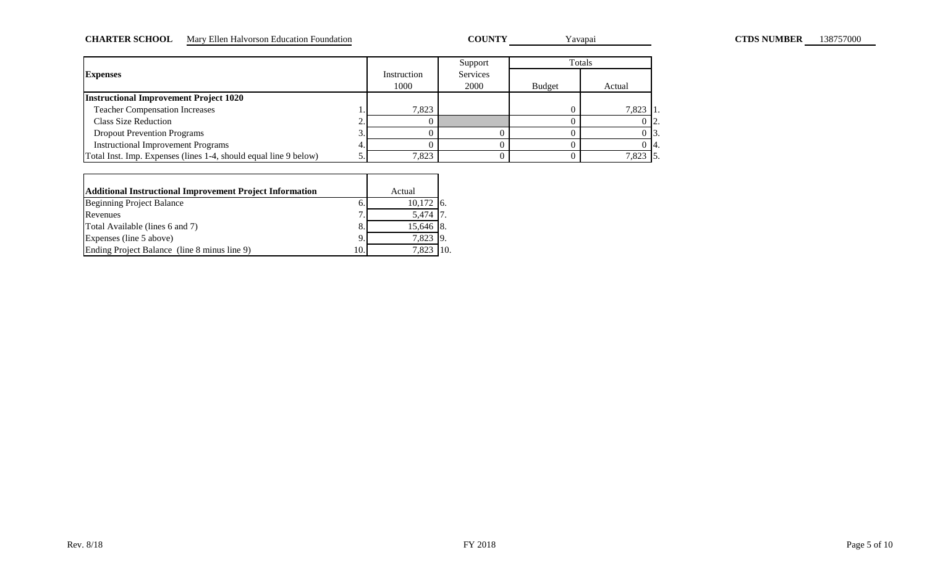#### CHARTER SCHOOL Mary Ellen Halvorson Education Foundation **COUNTY** Yavapai **COUNTY** Yavapai **CTDS NUMBER** 138757000

COUNTY Yavapai

|                                                                  |             | Support  |               | Totals     |
|------------------------------------------------------------------|-------------|----------|---------------|------------|
| <b>Expenses</b>                                                  | Instruction | Services |               |            |
|                                                                  | 1000        | 2000     | <b>Budget</b> | Actual     |
| <b>Instructional Improvement Project 1020</b>                    |             |          |               |            |
| <b>Teacher Compensation Increases</b>                            | 7.823       |          |               | $7,823$ 1. |
| Class Size Reduction                                             |             |          |               | $0\,12.$   |
| <b>Dropout Prevention Programs</b>                               |             |          |               | $0\,13.$   |
| <b>Instructional Improvement Programs</b>                        |             |          |               | O 14.      |
| Total Inst. Imp. Expenses (lines 1-4, should equal line 9 below) | 7,823       |          |               | 7,823 5.   |

| <b>Additional Instructional Improvement Project Information</b> |    | Actual      |  |
|-----------------------------------------------------------------|----|-------------|--|
| Beginning Project Balance                                       |    | $10,172$ 6. |  |
| Revenues                                                        | ⇁  | 5.474 17    |  |
| Total Available (lines 6 and 7)                                 | 8  | 15,646 8.   |  |
| Expenses (line 5 above)                                         | 9  | 7,823 9.    |  |
| Ending Project Balance (line 8 minus line 9)                    | 10 | 7.823       |  |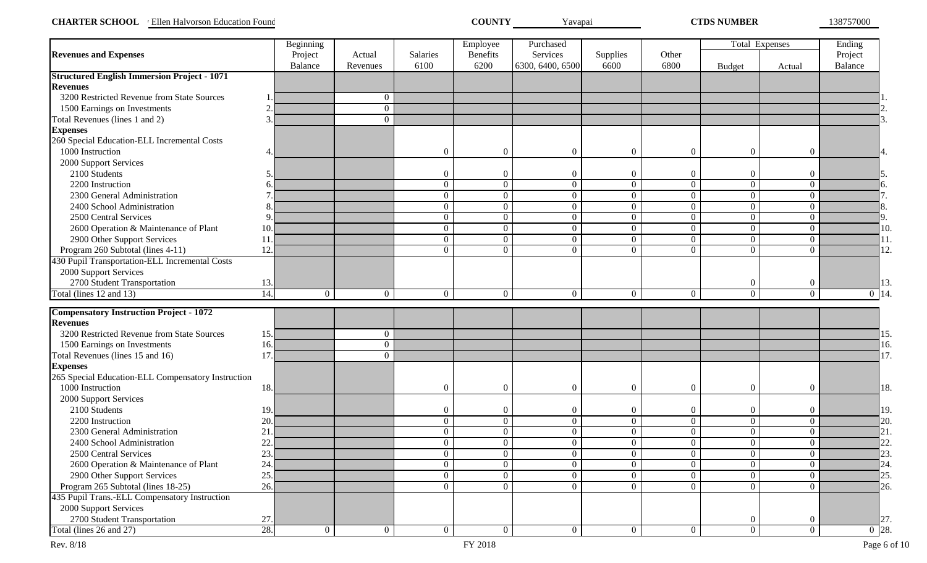| <b>CHARTER SCHOOL</b><br>Ellen Halvorson Education Found | COUNTY | Y avapai | <b>TIDS NUMBER</b> | 138757000 |
|----------------------------------------------------------|--------|----------|--------------------|-----------|
|----------------------------------------------------------|--------|----------|--------------------|-----------|

|                                                                   |                   | Beginning      |                |                  | Employee         | Purchased                        |                |                  | Total Expenses |                  | Ending             |
|-------------------------------------------------------------------|-------------------|----------------|----------------|------------------|------------------|----------------------------------|----------------|------------------|----------------|------------------|--------------------|
| <b>Revenues and Expenses</b>                                      |                   | Project        | Actual         | Salaries         | <b>Benefits</b>  | Services                         | Supplies       | Other            |                |                  | Project            |
|                                                                   |                   | Balance        | Revenues       | 6100             | 6200             | 6300, 6400, 6500                 | 6600           | 6800             | <b>Budget</b>  | Actual           | Balance            |
| <b>Structured English Immersion Project - 1071</b>                |                   |                |                |                  |                  |                                  |                |                  |                |                  |                    |
| <b>Revenues</b>                                                   |                   |                |                |                  |                  |                                  |                |                  |                |                  |                    |
| 3200 Restricted Revenue from State Sources                        |                   |                | $\mathbf{0}$   |                  |                  |                                  |                |                  |                |                  |                    |
| 1500 Earnings on Investments                                      |                   |                | $\overline{0}$ |                  |                  |                                  |                |                  |                |                  |                    |
| Total Revenues (lines 1 and 2)                                    | $\mathcal{R}$     |                | $\overline{0}$ |                  |                  |                                  |                |                  |                |                  |                    |
| <b>Expenses</b>                                                   |                   |                |                |                  |                  |                                  |                |                  |                |                  |                    |
| 260 Special Education-ELL Incremental Costs                       |                   |                |                |                  |                  |                                  |                |                  |                |                  |                    |
| 1000 Instruction                                                  |                   |                |                | $\Omega$         | $\theta$         | $\overline{0}$                   | $\Omega$       | $\overline{0}$   | $\overline{0}$ | $\boldsymbol{0}$ |                    |
| 2000 Support Services                                             |                   |                |                |                  |                  |                                  |                |                  |                |                  |                    |
| 2100 Students                                                     |                   |                |                | $\Omega$         | $\theta$         | $\Omega$                         | $\theta$       | $\overline{0}$   | $\overline{0}$ | $\overline{0}$   |                    |
| 2200 Instruction                                                  |                   |                |                | $\overline{0}$   | $\overline{0}$   | $\boldsymbol{0}$                 | $\overline{0}$ | $\overline{0}$   | $\overline{0}$ | $\overline{0}$   |                    |
| 2300 General Administration                                       |                   |                |                | $\overline{0}$   | $\boldsymbol{0}$ | $\overline{0}$                   | $\overline{0}$ | $\overline{0}$   | $\overline{0}$ | $\overline{0}$   |                    |
| 2400 School Administration                                        |                   |                |                | $\overline{0}$   | $\boldsymbol{0}$ | $\overline{0}$                   | $\overline{0}$ | $\boldsymbol{0}$ | $\overline{0}$ | $\overline{0}$   |                    |
| 2500 Central Services                                             |                   |                |                | $\overline{0}$   | $\boldsymbol{0}$ | $\boldsymbol{0}$                 | $\overline{0}$ | $\overline{0}$   | $\overline{0}$ | $\overline{0}$   |                    |
| 2600 Operation & Maintenance of Plant                             | 10                |                |                | $\overline{0}$   | $\boldsymbol{0}$ | $\overline{0}$                   | $\overline{0}$ | $\overline{0}$   | $\overline{0}$ | $\overline{0}$   | 10.                |
| 2900 Other Support Services                                       | 11                |                |                | $\overline{0}$   | $\boldsymbol{0}$ | $\boldsymbol{0}$                 | $\overline{0}$ | $\overline{0}$   | $\overline{0}$ | $\overline{0}$   | 11.                |
| Program 260 Subtotal (lines 4-11)                                 | 12                |                |                | $\theta$         | $\boldsymbol{0}$ | $\Omega$                         | $\overline{0}$ | $\overline{0}$   | $\Omega$       | $\theta$         | 12.                |
| 430 Pupil Transportation-ELL Incremental Costs                    |                   |                |                |                  |                  |                                  |                |                  |                |                  |                    |
| 2000 Support Services                                             |                   |                |                |                  |                  |                                  |                |                  |                |                  |                    |
| 2700 Student Transportation                                       | 13.               |                |                |                  |                  |                                  |                |                  | $\overline{0}$ | $\overline{0}$   | 13.                |
| Total (lines 12 and 13)                                           | $\overline{14}$ . | $\overline{0}$ | $\overline{0}$ | $\overline{0}$   | $\boldsymbol{0}$ | $\overline{0}$                   | $\overline{0}$ | $\overline{0}$   | $\overline{0}$ | $\overline{0}$   | $\overline{0}$ 14. |
| <b>Compensatory Instruction Project - 1072</b>                    |                   |                |                |                  |                  |                                  |                |                  |                |                  |                    |
| <b>Revenues</b>                                                   |                   |                |                |                  |                  |                                  |                |                  |                |                  |                    |
| 3200 Restricted Revenue from State Sources                        | 15.               |                | $\mathbf{0}$   |                  |                  |                                  |                |                  |                |                  |                    |
| 1500 Earnings on Investments                                      | 16.               |                | $\overline{0}$ |                  |                  |                                  |                |                  |                |                  |                    |
| Total Revenues (lines 15 and 16)                                  | 17                |                | $\overline{0}$ |                  |                  |                                  |                |                  |                |                  | 17.                |
| <b>Expenses</b>                                                   |                   |                |                |                  |                  |                                  |                |                  |                |                  |                    |
| 265 Special Education-ELL Compensatory Instruction                |                   |                |                |                  |                  |                                  |                |                  |                |                  |                    |
| 1000 Instruction                                                  | 18.               |                |                | $\boldsymbol{0}$ | $\boldsymbol{0}$ | $\boldsymbol{0}$                 | $\overline{0}$ | $\boldsymbol{0}$ | $\overline{0}$ | $\overline{0}$   | 18.                |
| 2000 Support Services                                             |                   |                |                |                  |                  |                                  |                |                  |                |                  |                    |
| 2100 Students                                                     | 19.               |                |                | $\theta$         | $\boldsymbol{0}$ | $\theta$                         | $\overline{0}$ | $\boldsymbol{0}$ | $\overline{0}$ | $\overline{0}$   | 19.                |
| 2200 Instruction                                                  | 20                |                |                | $\boldsymbol{0}$ | $\boldsymbol{0}$ | $\overline{0}$                   | $\overline{0}$ | $\overline{0}$   | $\overline{0}$ | $\overline{0}$   | 20.                |
| 2300 General Administration                                       | 21                |                |                | $\overline{0}$   | $\boldsymbol{0}$ | $\overline{0}$                   | $\overline{0}$ | $\overline{0}$   | $\overline{0}$ | $\overline{0}$   | 21.                |
| 2400 School Administration                                        | 22                |                |                | $\overline{0}$   | $\overline{0}$   | $\overline{0}$                   | $\overline{0}$ | $\overline{0}$   | $\overline{0}$ | $\overline{0}$   | 22                 |
| 2500 Central Services                                             | 23.               |                |                | $\overline{0}$   | $\overline{0}$   | $\overline{0}$                   | $\overline{0}$ | $\overline{0}$   | $\overline{0}$ | $\overline{0}$   | $\vert$ 23.        |
|                                                                   | 24.               |                |                | $\overline{0}$   | $\overline{0}$   | $\overline{0}$                   | $\overline{0}$ | $\overline{0}$   | $\overline{0}$ | $\overline{0}$   | 24.                |
| 2600 Operation & Maintenance of Plant                             | 25.               |                |                | $\overline{0}$   | $\overline{0}$   |                                  | $\overline{0}$ | $\overline{0}$   | $\overline{0}$ | $\overline{0}$   | 25.                |
| 2900 Other Support Services<br>Program 265 Subtotal (lines 18-25) | 26.               |                |                | $\overline{0}$   | $\overline{0}$   | $\mathbf{0}$<br>$\boldsymbol{0}$ | $\overline{0}$ | $\overline{0}$   | $\overline{0}$ | $\overline{0}$   | 26.                |
|                                                                   |                   |                |                |                  |                  |                                  |                |                  |                |                  |                    |
| 435 Pupil Trans.-ELL Compensatory Instruction                     |                   |                |                |                  |                  |                                  |                |                  |                |                  |                    |
| 2000 Support Services                                             |                   |                |                |                  |                  |                                  |                |                  |                |                  |                    |
| 2700 Student Transportation                                       | 27.               |                |                |                  |                  |                                  |                |                  | $\overline{0}$ | $\boldsymbol{0}$ | 27.                |
| Total (lines 26 and 27)                                           | 28.               | $\overline{0}$ | $\overline{0}$ | $\overline{0}$   | $\overline{0}$   | $\overline{0}$                   | $\overline{0}$ | $\overline{0}$   | $\overline{0}$ | $\overline{0}$   | $\overline{0}$ 28. |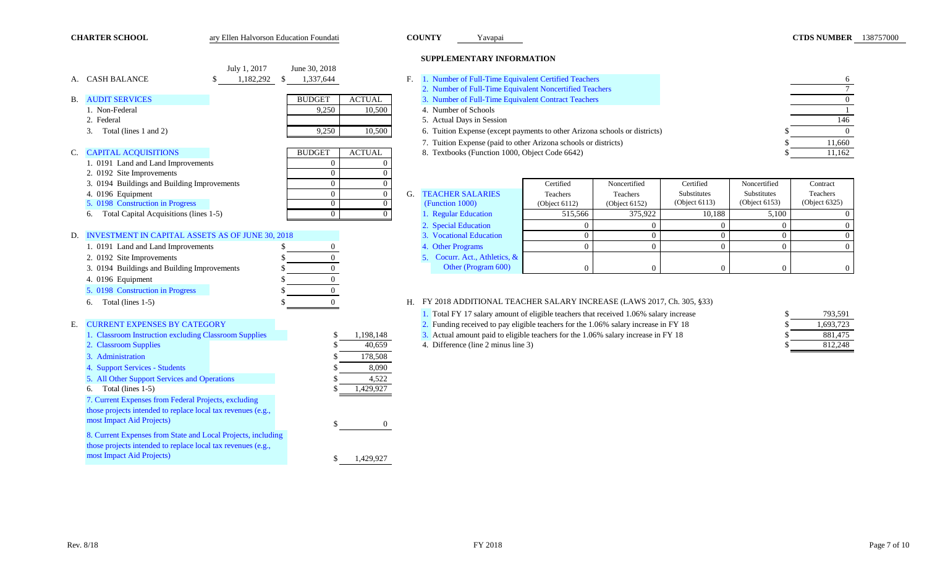| <b>CHARTER SCHOOL</b>                                                            | ary Ellen Halvorson Education Foundati                       |                                |                                  | <b>COUNTY</b>                                  | Yavapai |                                                                 |                                                                                       |                                 |                                 | <b>CTDS NUMBER</b> 138757000 |  |
|----------------------------------------------------------------------------------|--------------------------------------------------------------|--------------------------------|----------------------------------|------------------------------------------------|---------|-----------------------------------------------------------------|---------------------------------------------------------------------------------------|---------------------------------|---------------------------------|------------------------------|--|
|                                                                                  |                                                              |                                |                                  | SUPPLEMENTARY INFORMATION                      |         |                                                                 |                                                                                       |                                 |                                 |                              |  |
|                                                                                  | July 1, 2017                                                 | June 30, 2018                  |                                  |                                                |         |                                                                 |                                                                                       |                                 |                                 |                              |  |
| A. CASH BALANCE                                                                  | 1,182,292<br>\$.                                             | 1,337,644<br>S.                | F.                               |                                                |         | 1. Number of Full-Time Equivalent Certified Teachers            |                                                                                       |                                 |                                 | 6                            |  |
|                                                                                  |                                                              |                                |                                  |                                                |         | 2. Number of Full-Time Equivalent Noncertified Teachers         |                                                                                       |                                 |                                 | $7\overline{ }$              |  |
| <b>B. AUDIT SERVICES</b>                                                         |                                                              | <b>BUDGET</b><br><b>ACTUAL</b> |                                  |                                                |         | 3. Number of Full-Time Equivalent Contract Teachers             |                                                                                       |                                 |                                 | $\overline{0}$               |  |
| 1. Non-Federal                                                                   |                                                              | 9,250<br>10,500                |                                  | 4. Number of Schools                           |         |                                                                 |                                                                                       |                                 |                                 | -1                           |  |
| 2. Federal                                                                       |                                                              |                                |                                  | 5. Actual Days in Session                      |         |                                                                 |                                                                                       |                                 |                                 | 146                          |  |
| 3. Total (lines 1 and 2)                                                         |                                                              | 9,250<br>10,500                |                                  |                                                |         |                                                                 | 6. Tuition Expense (except payments to other Arizona schools or districts)            |                                 |                                 | $\overline{0}$               |  |
|                                                                                  |                                                              |                                |                                  |                                                |         | 7. Tuition Expense (paid to other Arizona schools or districts) |                                                                                       |                                 |                                 | 11,660                       |  |
| C. CAPITAL ACQUISITIONS                                                          |                                                              | <b>ACTUAL</b><br><b>BUDGET</b> |                                  | 8. Textbooks (Function 1000, Object Code 6642) |         |                                                                 |                                                                                       |                                 |                                 | 11,162                       |  |
| 1. 0191 Land and Land Improvements                                               |                                                              | $\Omega$                       |                                  |                                                |         |                                                                 |                                                                                       |                                 |                                 |                              |  |
| 2. 0192 Site Improvements                                                        |                                                              | $\overline{0}$                 | $\Omega$                         |                                                |         |                                                                 |                                                                                       |                                 |                                 |                              |  |
| 3. 0194 Buildings and Building Improvements                                      |                                                              | $\Omega$                       | $\Omega$                         |                                                |         | Certified                                                       | Noncertified                                                                          | Certified                       | Noncertified                    | Contract                     |  |
| 4. 0196 Equipment                                                                |                                                              | $\overline{0}$<br>$\Omega$     | $\overline{0}$<br>G.<br>$\Omega$ | <b>TEACHER SALARIES</b><br>(Function 1000)     |         | Teachers                                                        | Teachers                                                                              | Substitutes<br>(Object $6113$ ) | Substitutes<br>(Object $6153$ ) | Teachers<br>(Object 6325)    |  |
| 5. 0198 Construction in Progress<br>Total Capital Acquisitions (lines 1-5)<br>6. |                                                              | $\Omega$                       | $\overline{0}$                   | 1. Regular Education                           |         | (Object 6112)<br>515,566                                        | (Object 6152)<br>375,922                                                              | 10,188                          | 5,100                           | $\theta$                     |  |
|                                                                                  |                                                              |                                |                                  | 2. Special Education                           |         | $\overline{0}$                                                  | $\theta$                                                                              | $\theta$                        | $\theta$                        | $\Omega$                     |  |
| D. INVESTMENT IN CAPITAL ASSETS AS OF JUNE 30, 2018                              |                                                              |                                |                                  | 3. Vocational Education                        |         | $\overline{0}$                                                  | $\overline{0}$                                                                        | $\theta$                        | $\theta$                        | $\Omega$                     |  |
| 1. 0191 Land and Land Improvements                                               |                                                              | \$                             |                                  | 4. Other Programs                              |         | $\overline{0}$                                                  | $\overline{0}$                                                                        | $\overline{0}$                  | $\overline{0}$                  | $\Omega$                     |  |
| 2. 0192 Site Improvements                                                        |                                                              | $\overline{0}$<br>\$           |                                  | 5. Cocurr. Act., Athletics, &                  |         |                                                                 |                                                                                       |                                 |                                 |                              |  |
| 3. 0194 Buildings and Building Improvements                                      |                                                              | $\theta$<br>\$                 |                                  | Other (Program 600)                            |         | $\overline{0}$                                                  | $\Omega$                                                                              | $\Omega$                        |                                 | $\theta$                     |  |
|                                                                                  |                                                              | $\Omega$                       |                                  |                                                |         |                                                                 |                                                                                       |                                 |                                 |                              |  |
| 4. 0196 Equipment<br>5. 0198 Construction in Progress                            |                                                              |                                |                                  |                                                |         |                                                                 |                                                                                       |                                 |                                 |                              |  |
|                                                                                  |                                                              | $\overline{0}$                 |                                  |                                                |         |                                                                 |                                                                                       |                                 |                                 |                              |  |
| Total (lines 1-5)<br>6.                                                          |                                                              | $\overline{0}$                 | Н.                               |                                                |         |                                                                 | FY 2018 ADDITIONAL TEACHER SALARY INCREASE (LAWS 2017, Ch. 305, §33)                  |                                 |                                 |                              |  |
|                                                                                  |                                                              |                                |                                  |                                                |         |                                                                 | 1. Total FY 17 salary amount of eligible teachers that received 1.06% salary increase |                                 |                                 | 793,591                      |  |
| <b>CURRENT EXPENSES BY CATEGORY</b><br>Е.                                        |                                                              |                                |                                  |                                                |         |                                                                 | 2. Funding received to pay eligible teachers for the 1.06% salary increase in FY 18   |                                 |                                 | 1,693,723                    |  |
| 1. Classroom Instruction excluding Classroom Supplies                            |                                                              | 1,198,148                      |                                  |                                                |         |                                                                 | 3. Actual amount paid to eligible teachers for the 1.06% salary increase in FY 18     |                                 |                                 | 881,475                      |  |
| 2. Classroom Supplies                                                            |                                                              | 40,659                         |                                  | 4. Difference (line 2 minus line 3)            |         |                                                                 |                                                                                       |                                 |                                 | 812,248                      |  |
| 3. Administration                                                                |                                                              | 178,508                        |                                  |                                                |         |                                                                 |                                                                                       |                                 |                                 |                              |  |
| 4. Support Services - Students                                                   |                                                              |                                | 8,090                            |                                                |         |                                                                 |                                                                                       |                                 |                                 |                              |  |
| 5. All Other Support Services and Operations                                     |                                                              | 4,522                          |                                  |                                                |         |                                                                 |                                                                                       |                                 |                                 |                              |  |
| 6. Total (lines $1-5$ )                                                          |                                                              | 1,429,927                      |                                  |                                                |         |                                                                 |                                                                                       |                                 |                                 |                              |  |
| 7. Current Expenses from Federal Projects, excluding                             |                                                              |                                |                                  |                                                |         |                                                                 |                                                                                       |                                 |                                 |                              |  |
| those projects intended to replace local tax revenues (e.g.,                     |                                                              |                                |                                  |                                                |         |                                                                 |                                                                                       |                                 |                                 |                              |  |
| most Impact Aid Projects)                                                        |                                                              | -S                             | $\overline{0}$                   |                                                |         |                                                                 |                                                                                       |                                 |                                 |                              |  |
|                                                                                  | 8. Current Expenses from State and Local Projects, including |                                |                                  |                                                |         |                                                                 |                                                                                       |                                 |                                 |                              |  |
| those projects intended to replace local tax revenues (e.g.,                     |                                                              |                                |                                  |                                                |         |                                                                 |                                                                                       |                                 |                                 |                              |  |
| most Impact Aid Projects)                                                        |                                                              | 1,429,927                      |                                  |                                                |         |                                                                 |                                                                                       |                                 |                                 |                              |  |
|                                                                                  |                                                              |                                |                                  |                                                |         |                                                                 |                                                                                       |                                 |                                 |                              |  |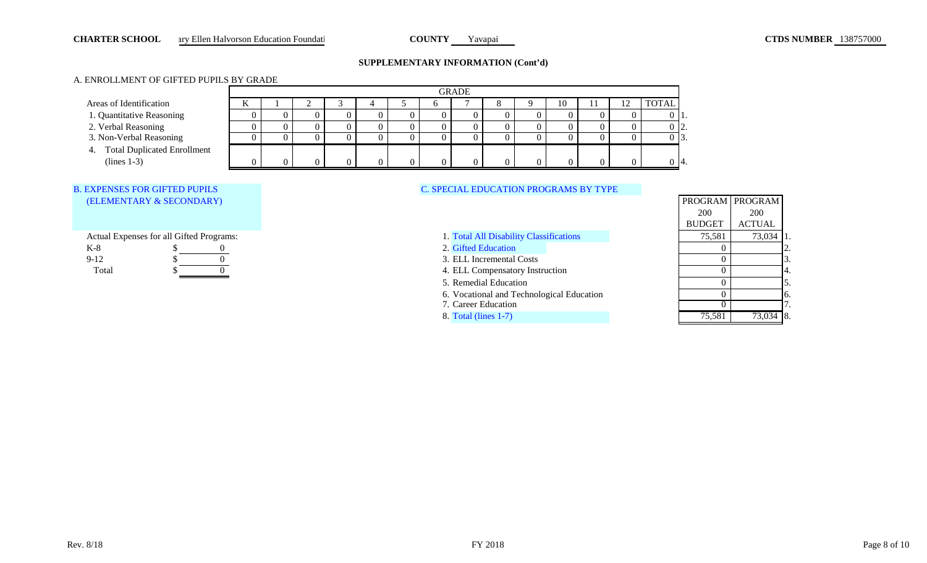#### **CHARTER SCHOOL** ary Ellen Halvorson Education Foundati **COUNTY** Yavapai **Yavapai COUNTY** Yavapai **CTDS NUMBER** 138757000 **CHARTER SCHOOL**

### **SUPPLEMENTARY INFORMATION (Cont'd)**

# A. ENROLLMENT OF GIFTED PUPILS BY GRADE

|                                |   | <b>GRADE</b> |  |  |  |    |  |  |  |  |    |  |              |
|--------------------------------|---|--------------|--|--|--|----|--|--|--|--|----|--|--------------|
| Areas of Identification        | A |              |  |  |  |    |  |  |  |  | 10 |  | <b>TOTAL</b> |
| 1. Quantitative Reasoning      |   |              |  |  |  |    |  |  |  |  |    |  |              |
| 2. Verbal Reasoning            |   |              |  |  |  | U  |  |  |  |  |    |  | ، ت          |
| 3. Non-Verbal Reasoning        |   |              |  |  |  |    |  |  |  |  |    |  | . L. J.      |
| 4. Total Duplicated Enrollment |   |              |  |  |  |    |  |  |  |  |    |  |              |
| $(lines 1-3)$                  |   |              |  |  |  | 0. |  |  |  |  |    |  | -14.         |

# B. EXPENSES FOR GIFTED PUPILS (ELEMENTARY & SECONDARY)

Actual Expenses for all Gifted Programs:

| $12 -$         |  | Equeation<br>не<br>--    | . . |  |
|----------------|--|--------------------------|-----|--|
| $\overline{1}$ |  | L Incremental C<br>Costs |     |  |
| Total          |  | Compensatory Instruction |     |  |

# C. SPECIAL EDUCATION PROGRAMS BY TYPE

5. Remedial Education

|                                           |               | PROGRAM   PROGRAM |     |
|-------------------------------------------|---------------|-------------------|-----|
|                                           | 200           | <b>200</b>        |     |
|                                           | <b>BUDGET</b> | <b>ACTUAL</b>     |     |
| 1. Total All Disability Classifications   | 75,581        | 73,034            |     |
| 2. Gifted Education                       |               |                   |     |
| 3. ELL Incremental Costs                  | 0             |                   | 3.  |
| 4. ELL Compensatory Instruction           | $\cup$        |                   | Α.  |
| 5. Remedial Education                     | O             |                   | 5.  |
| 6. Vocational and Technological Education | ∩             |                   | 6.  |
| 7. Career Education                       |               |                   |     |
| 8. Total (lines $1-7$ )                   | 75,581        | 73,034            | 18. |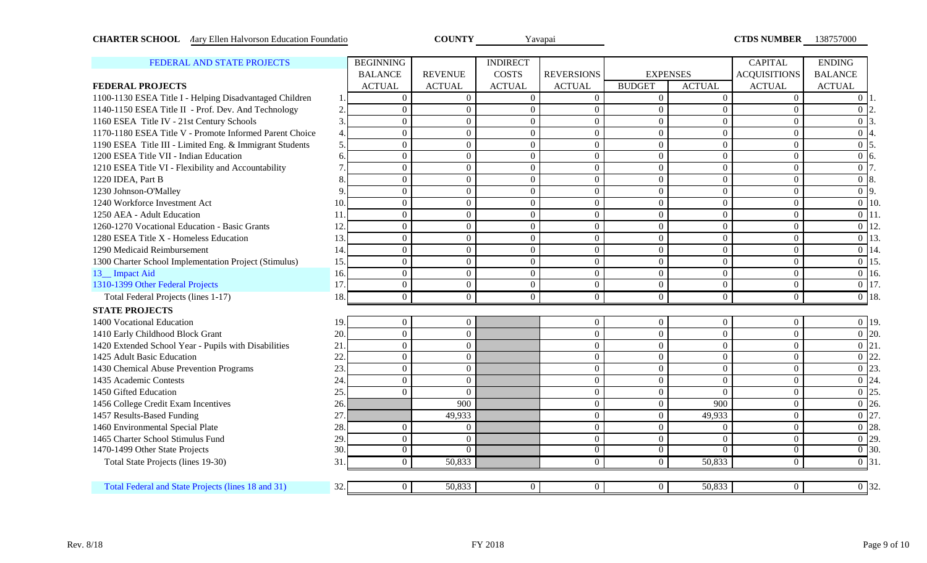| <b>CHARTER SCHOOL</b> Aary Ellen Halvorson Education Foundatio |                |                  | <b>COUNTY</b>  |                 | Yavapai           |                |                  | <b>CTDS NUMBER</b>  | 138757000             |
|----------------------------------------------------------------|----------------|------------------|----------------|-----------------|-------------------|----------------|------------------|---------------------|-----------------------|
| FEDERAL AND STATE PROJECTS                                     |                | <b>BEGINNING</b> |                | <b>INDIRECT</b> |                   |                |                  | <b>CAPITAL</b>      | <b>ENDING</b>         |
|                                                                |                | <b>BALANCE</b>   | <b>REVENUE</b> | <b>COSTS</b>    | <b>REVERSIONS</b> |                | <b>EXPENSES</b>  | <b>ACQUISITIONS</b> | <b>BALANCE</b>        |
| <b>FEDERAL PROJECTS</b>                                        |                | <b>ACTUAL</b>    | <b>ACTUAL</b>  | <b>ACTUAL</b>   | <b>ACTUAL</b>     | <b>BUDGET</b>  | <b>ACTUAL</b>    | <b>ACTUAL</b>       | <b>ACTUAL</b>         |
| 1100-1130 ESEA Title I - Helping Disadvantaged Children        | $\mathbf{1}$   | $\Omega$         | $\Omega$       | $\Omega$        | $\overline{0}$    | $\overline{0}$ | $\Omega$         | $\Omega$            | $\Omega$              |
| 1140-1150 ESEA Title II - Prof. Dev. And Technology            | $\overline{2}$ | $\overline{0}$   | $\overline{0}$ | $\overline{0}$  | $\Omega$          | $\overline{0}$ | $\Omega$         | $\Omega$            | $\Omega$              |
| 1160 ESEA Title IV - 21st Century Schools                      | 3              | $\overline{0}$   | $\overline{0}$ | $\overline{0}$  | $\overline{0}$    | $\overline{0}$ | $\overline{0}$   | $\theta$            | $\overline{0}$        |
| 1170-1180 ESEA Title V - Promote Informed Parent Choice        | $\overline{4}$ | $\overline{0}$   | $\overline{0}$ | $\overline{0}$  | $\overline{0}$    | $\overline{0}$ | $\overline{0}$   | $\overline{0}$      | $\overline{0}$        |
| 1190 ESEA Title III - Limited Eng. & Immigrant Students        | 5.             | $\overline{0}$   | $\overline{0}$ | $\overline{0}$  | $\overline{0}$    | $\overline{0}$ | $\overline{0}$   | $\theta$            | $\overline{0}$        |
| 1200 ESEA Title VII - Indian Education                         | 6              | $\overline{0}$   | $\overline{0}$ | $\overline{0}$  | $\overline{0}$    | $\overline{0}$ | $\overline{0}$   | $\overline{0}$      | $\overline{0}$<br>6.  |
| 1210 ESEA Title VI - Flexibility and Accountability            |                | $\overline{0}$   | $\overline{0}$ | $\overline{0}$  | $\overline{0}$    | $\overline{0}$ | $\overline{0}$   | $\theta$            | $\overline{0}$        |
| 1220 IDEA, Part B                                              | 8              | $\overline{0}$   | $\overline{0}$ | $\overline{0}$  | $\overline{0}$    | $\overline{0}$ | $\overline{0}$   | $\theta$            | $\overline{0}$<br>8.  |
| 1230 Johnson-O'Malley                                          | $\mathbf Q$    | $\overline{0}$   | $\overline{0}$ | $\overline{0}$  | $\overline{0}$    | $\overline{0}$ | $\overline{0}$   | $\theta$            | $0\overline{9}$ .     |
| 1240 Workforce Investment Act                                  | 10.            | $\overline{0}$   | $\overline{0}$ | $\overline{0}$  | $\overline{0}$    | $\overline{0}$ | $\overline{0}$   | $\theta$            | $\overline{0}$<br>10. |
| 1250 AEA - Adult Education                                     | 11             | $\overline{0}$   | $\overline{0}$ | $\overline{0}$  | $\overline{0}$    | $\overline{0}$ | $\overline{0}$   | $\theta$            | $\overline{0}$        |
| 1260-1270 Vocational Education - Basic Grants                  | 12.            | $\overline{0}$   | $\overline{0}$ | $\overline{0}$  | $\overline{0}$    | $\overline{0}$ | $\overline{0}$   | $\theta$            | $\overline{0}$        |
| 1280 ESEA Title X - Homeless Education                         | 13.            | $\overline{0}$   | $\overline{0}$ | $\overline{0}$  | $\overline{0}$    | $\overline{0}$ | $\overline{0}$   | $\theta$            | $\overline{0}$        |
| 1290 Medicaid Reimbursement                                    | 14.            | $\overline{0}$   | $\overline{0}$ | $\overline{0}$  | $\overline{0}$    | $\overline{0}$ | $\overline{0}$   | $\theta$            | $\overline{0}$        |
| 1300 Charter School Implementation Project (Stimulus)          | 15.            | $\overline{0}$   | $\overline{0}$ | $\overline{0}$  | $\overline{0}$    | $\overline{0}$ | $\overline{0}$   | $\overline{0}$      | $\overline{0}$        |
| 13_ Impact Aid                                                 | 16.            | $\overline{0}$   | $\overline{0}$ | $\overline{0}$  | $\overline{0}$    | $\overline{0}$ | $\overline{0}$   | $\Omega$            | $\overline{0}$<br>16. |
| 1310-1399 Other Federal Projects                               | 17.            | $\overline{0}$   | $\mathbf{0}$   | $\overline{0}$  | $\overline{0}$    | $\overline{0}$ | $\overline{0}$   | $\Omega$            | $\overline{0}$ 17.    |
| Total Federal Projects (lines 1-17)                            | 18.            | $\overline{0}$   | $\overline{0}$ | $\overline{0}$  | $\overline{0}$    | $\overline{0}$ | $\overline{0}$   | $\overline{0}$      | $\overline{0}$ 18.    |
| <b>STATE PROJECTS</b>                                          |                |                  |                |                 |                   |                |                  |                     |                       |
| 1400 Vocational Education                                      | 19.            | $\overline{0}$   | $\overline{0}$ |                 | $\overline{0}$    | $\overline{0}$ | $\overline{0}$   | $\overline{0}$      | $\overline{0}$ 19.    |
| 1410 Early Childhood Block Grant                               | 20.            | $\mathbf{0}$     | $\mathbf{0}$   |                 | $\overline{0}$    | $\mathbf{0}$   | $\boldsymbol{0}$ | $\overline{0}$      | $\overline{0}$ 20.    |
| 1420 Extended School Year - Pupils with Disabilities           | 21             | $\mathbf{0}$     | $\mathbf{0}$   |                 | $\overline{0}$    | $\overline{0}$ | $\overline{0}$   | $\overline{0}$      | $\overline{0}$ 21.    |
| 1425 Adult Basic Education                                     | 22             | $\mathbf{0}$     | $\mathbf{0}$   |                 | $\overline{0}$    | $\overline{0}$ | $\overline{0}$   | $\mathbf{0}$        | $\overline{0}$ 22.    |
| 1430 Chemical Abuse Prevention Programs                        | 23.            | $\mathbf{0}$     | $\mathbf{0}$   |                 | $\overline{0}$    | $\overline{0}$ | $\theta$         | $\overline{0}$      | $\overline{0}$ 23.    |
| 1435 Academic Contests                                         | 24             | $\overline{0}$   | $\overline{0}$ |                 | $\overline{0}$    | $\overline{0}$ | $\overline{0}$   | $\overline{0}$      | $\overline{0}$ 24.    |
| 1450 Gifted Education                                          | 25.            | $\theta$         | $\Omega$       |                 | $\overline{0}$    | $\theta$       | $\Omega$         | $\overline{0}$      | $\overline{0}$ 25.    |
| 1456 College Credit Exam Incentives                            | 26.            |                  | 900            |                 | $\overline{0}$    | $\overline{0}$ | 900              | $\overline{0}$      | $\overline{0}$ 26.    |
| 1457 Results-Based Funding                                     | 27             |                  | 49,933         |                 | $\overline{0}$    | $\overline{0}$ | 49,933           | $\overline{0}$      | $\overline{0}$ 27.    |
| 1460 Environmental Special Plate                               | 28.            | $\overline{0}$   | $\theta$       |                 | $\overline{0}$    | $\overline{0}$ | $\theta$         | $\overline{0}$      | $\overline{0}$ 28.    |
| 1465 Charter School Stimulus Fund                              | 29.            | $\overline{0}$   | $\mathbf{0}$   |                 | $\overline{0}$    | $\overline{0}$ | $\overline{0}$   | $\overline{0}$      | $\overline{0}$ 29.    |
| 1470-1499 Other State Projects                                 | 30.            | $\overline{0}$   | $\Omega$       |                 | $\overline{0}$    | $\overline{0}$ | $\Omega$         | $\Omega$            | $\overline{0}$ 30.    |
| Total State Projects (lines 19-30)                             | 31             | $\overline{0}$   | 50,833         |                 | $\Omega$          | $\theta$       | 50,833           | $\Omega$            | $\overline{0}$ 31.    |

Total Federal and State Projects (lines 18 and 31) 32. 0 50,833 0 0 0 0 50,833 0 0 50,833 0 0 32.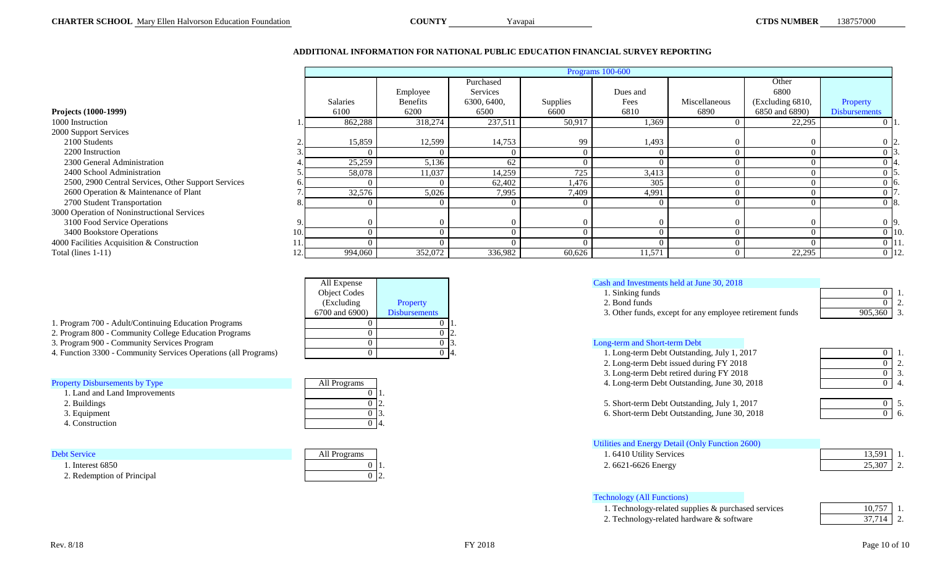# **ADDITIONAL INFORMATION FOR NATIONAL PUBLIC EDUCATION FINANCIAL SURVEY REPORTING**

Yavapai

|                                                     |     |                 | Programs 100-600 |             |          |          |               |                  |                      |  |
|-----------------------------------------------------|-----|-----------------|------------------|-------------|----------|----------|---------------|------------------|----------------------|--|
|                                                     |     |                 |                  | Purchased   |          |          |               | Other            |                      |  |
|                                                     |     |                 | Employee         | Services    |          | Dues and |               | 6800             |                      |  |
|                                                     |     | <b>Salaries</b> | <b>Benefits</b>  | 6300, 6400, | Supplies | Fees     | Miscellaneous | (Excluding 6810, | Property             |  |
| Projects (1000-1999)                                |     | 6100            | 6200             | 6500        | 6600     | 6810     | 6890          | 6850 and 6890)   | <b>Disbursements</b> |  |
| 1000 Instruction                                    |     | 862,288         | 318,274          | 237,511     | 50,917   | 1,369    |               | 22,295           |                      |  |
| 2000 Support Services                               |     |                 |                  |             |          |          |               |                  |                      |  |
| 2100 Students                                       |     | 15,859          | 12,599           | 14,753      | 99       | 1,493    |               |                  |                      |  |
| 2200 Instruction                                    |     |                 |                  |             |          |          |               |                  |                      |  |
| 2300 General Administration                         |     | 25,259          | 5,136            | 62          |          |          |               |                  |                      |  |
| 2400 School Administration                          |     | 58,078          | 11,037           | 14,259      | 725      | 3,413    |               |                  |                      |  |
| 2500, 2900 Central Services, Other Support Services |     |                 |                  | 62,402      | 1,476    | 305      |               |                  | л ю.                 |  |
| 2600 Operation & Maintenance of Plant               |     | 32,576          | 5,026            | 7,995       | 7,409    | 4,991    |               |                  |                      |  |
| 2700 Student Transportation                         |     |                 |                  |             |          |          |               |                  | ) 18.                |  |
| 3000 Operation of Noninstructional Services         |     |                 |                  |             |          |          |               |                  |                      |  |
| 3100 Food Service Operations                        |     |                 |                  |             |          |          |               |                  |                      |  |
| 3400 Bookstore Operations                           | 10  |                 |                  |             |          |          |               |                  | $0\,10.$             |  |
| 4000 Facilities Acquisition & Construction          |     |                 |                  |             |          |          |               |                  | 0 11.                |  |
| Total (lines $1-11$ )                               | 12. | 994,060         | 352,072          | 336,982     | 60,626   | 11,571   |               | 22,295           | $0$ 12.              |  |

| All Expense         |                      | Cash and Investments held at Ju                                                                                                                                                                                                                                                                                                    |
|---------------------|----------------------|------------------------------------------------------------------------------------------------------------------------------------------------------------------------------------------------------------------------------------------------------------------------------------------------------------------------------------|
| <b>Object Codes</b> |                      | 1. Sinking funds                                                                                                                                                                                                                                                                                                                   |
| (Excluding)         | Property             | 2. Bond funds                                                                                                                                                                                                                                                                                                                      |
| 6700 and 6900)      | <b>Disbursements</b> | 3. Other funds, except for an                                                                                                                                                                                                                                                                                                      |
|                     |                      |                                                                                                                                                                                                                                                                                                                                    |
|                     |                      | 12.                                                                                                                                                                                                                                                                                                                                |
|                     |                      | Long-term and Short-term Debt<br>13.                                                                                                                                                                                                                                                                                               |
|                     |                      | 1. Long-term Debt Outstandi<br>-14.                                                                                                                                                                                                                                                                                                |
|                     |                      | $\mathbf{A}$ $\mathbf{I}$ $\mathbf{A}$ $\mathbf{A}$ $\mathbf{A}$ $\mathbf{A}$ $\mathbf{A}$ $\mathbf{A}$ $\mathbf{A}$ $\mathbf{A}$ $\mathbf{A}$ $\mathbf{A}$ $\mathbf{A}$ $\mathbf{A}$ $\mathbf{A}$ $\mathbf{A}$ $\mathbf{A}$ $\mathbf{A}$ $\mathbf{A}$ $\mathbf{A}$ $\mathbf{A}$ $\mathbf{A}$ $\mathbf{A}$ $\mathbf{A}$ $\mathbf{$ |

|  |  | 1. Program 700 - Adult/Continuing Education Programs |  |
|--|--|------------------------------------------------------|--|
|  |  |                                                      |  |

- 2. Program 800 Community College Education Programs
- 3. Program 900 Community Services Program

|  | <b>Property Disbursements by Type</b> |  |
|--|---------------------------------------|--|
|--|---------------------------------------|--|

- 1. Land and Land Improvements
- 2. Buildings
- 3. Equipment
- 4. Construction

| All Programs |  |
|--------------|--|
|              |  |
|              |  |
|              |  |
|              |  |

| <b>Debt Service</b>        | All Programs   | . 6410 Utility Services | 13,591 |  |
|----------------------------|----------------|-------------------------|--------|--|
| Interest 6850              | 0 <sub>h</sub> | $6621 - 6626$ Energy    | 25,307 |  |
| 2. Redemption of Principal | ソーム            |                         |        |  |

| All Expense         |          | Cash and Investments held at June 30, 2018 |   |  |
|---------------------|----------|--------------------------------------------|---|--|
| <b>Obiect Codes</b> |          | . Sinking funds                            |   |  |
| (Excluding)         | Property | Bond funds                                 |   |  |
| .<br>$  -$          | ---      | .                                          | . |  |

6700 and 6900) Disbursements 3. Other funds, except for any employee retirement funds 905,360 3.

| $\ldots$                                                        |              |                                              |  |
|-----------------------------------------------------------------|--------------|----------------------------------------------|--|
| 2. Program 800 - Community College Education Programs           |              |                                              |  |
| 3. Program 900 - Community Services Program                     |              | Long-term and Short-term Debt                |  |
| 4. Function 3300 - Community Services Operations (all Programs) |              | 1. Long-term Debt Outstanding, July 1, 2017  |  |
|                                                                 |              | 2. Long-term Debt issued during FY 2018      |  |
|                                                                 |              | 3. Long-term Debt retired during FY 2018     |  |
| <b>Property Disbursements by Type</b>                           | All Programs | 4. Long-term Debt Outstanding, June 30, 2018 |  |
|                                                                 |              |                                              |  |

| $\overline{3}$ . |
|------------------|
|                  |

| 0 12.<br>5. Short-term Debt Outstanding, July 1, 2017       |  |
|-------------------------------------------------------------|--|
| $0\vert 3$<br>5. Short-term Debt Outstanding, June 30, 2018 |  |

| Utilities and Energy Detail (Only Function 2600)                                |  |
|---------------------------------------------------------------------------------|--|
| 1.6410 Utility Services                                                         |  |
| $\Omega$ $\epsilon$ $\epsilon$ $\Omega$ $\epsilon$ $\Omega$ $\epsilon$ $\Gamma$ |  |

| . 6410 Utility Services            | 13.591 |  |
|------------------------------------|--------|--|
| $0 \vert 1.$<br>2.6621-6626 Energy | 25.307 |  |

# Technology (All Functions)

1. Technology-related supplies & purchased services 2. Technology-related hardware & software

| 10,757 |  |
|--------|--|
| 37,714 |  |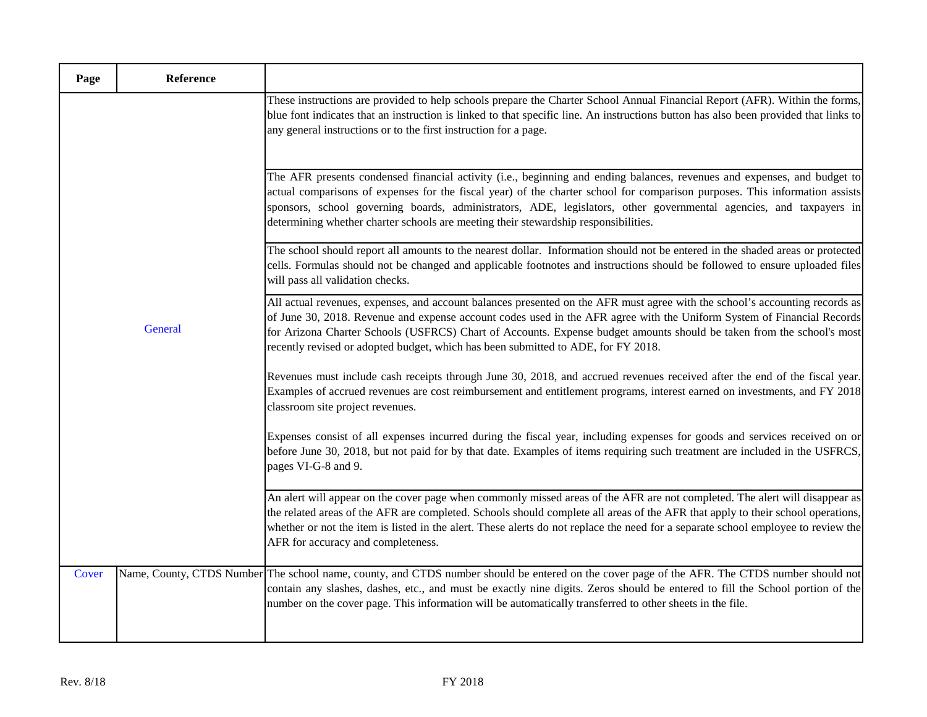| Page  | Reference |                                                                                                                                                                                                                                                                                                                                                                                                                                                                      |
|-------|-----------|----------------------------------------------------------------------------------------------------------------------------------------------------------------------------------------------------------------------------------------------------------------------------------------------------------------------------------------------------------------------------------------------------------------------------------------------------------------------|
|       |           | These instructions are provided to help schools prepare the Charter School Annual Financial Report (AFR). Within the forms,<br>blue font indicates that an instruction is linked to that specific line. An instructions button has also been provided that links to<br>any general instructions or to the first instruction for a page.                                                                                                                              |
|       | General   | The AFR presents condensed financial activity (i.e., beginning and ending balances, revenues and expenses, and budget to<br>actual comparisons of expenses for the fiscal year) of the charter school for comparison purposes. This information assists<br>sponsors, school governing boards, administrators, ADE, legislators, other governmental agencies, and taxpayers in<br>determining whether charter schools are meeting their stewardship responsibilities. |
|       |           | The school should report all amounts to the nearest dollar. Information should not be entered in the shaded areas or protected<br>cells. Formulas should not be changed and applicable footnotes and instructions should be followed to ensure uploaded files<br>will pass all validation checks.                                                                                                                                                                    |
|       |           | All actual revenues, expenses, and account balances presented on the AFR must agree with the school's accounting records as<br>of June 30, 2018. Revenue and expense account codes used in the AFR agree with the Uniform System of Financial Records<br>for Arizona Charter Schools (USFRCS) Chart of Accounts. Expense budget amounts should be taken from the school's most<br>recently revised or adopted budget, which has been submitted to ADE, for FY 2018.  |
|       |           | Revenues must include cash receipts through June 30, 2018, and accrued revenues received after the end of the fiscal year.<br>Examples of accrued revenues are cost reimbursement and entitlement programs, interest earned on investments, and FY 2018<br>classroom site project revenues.                                                                                                                                                                          |
|       |           | Expenses consist of all expenses incurred during the fiscal year, including expenses for goods and services received on or<br>before June 30, 2018, but not paid for by that date. Examples of items requiring such treatment are included in the USFRCS,<br>pages VI-G-8 and 9.                                                                                                                                                                                     |
|       |           | An alert will appear on the cover page when commonly missed areas of the AFR are not completed. The alert will disappear as<br>the related areas of the AFR are completed. Schools should complete all areas of the AFR that apply to their school operations,<br>whether or not the item is listed in the alert. These alerts do not replace the need for a separate school employee to review the<br>AFR for accuracy and completeness.                            |
| Cover |           | Name, County, CTDS Number The school name, county, and CTDS number should be entered on the cover page of the AFR. The CTDS number should not<br>contain any slashes, dashes, etc., and must be exactly nine digits. Zeros should be entered to fill the School portion of the<br>number on the cover page. This information will be automatically transferred to other sheets in the file.                                                                          |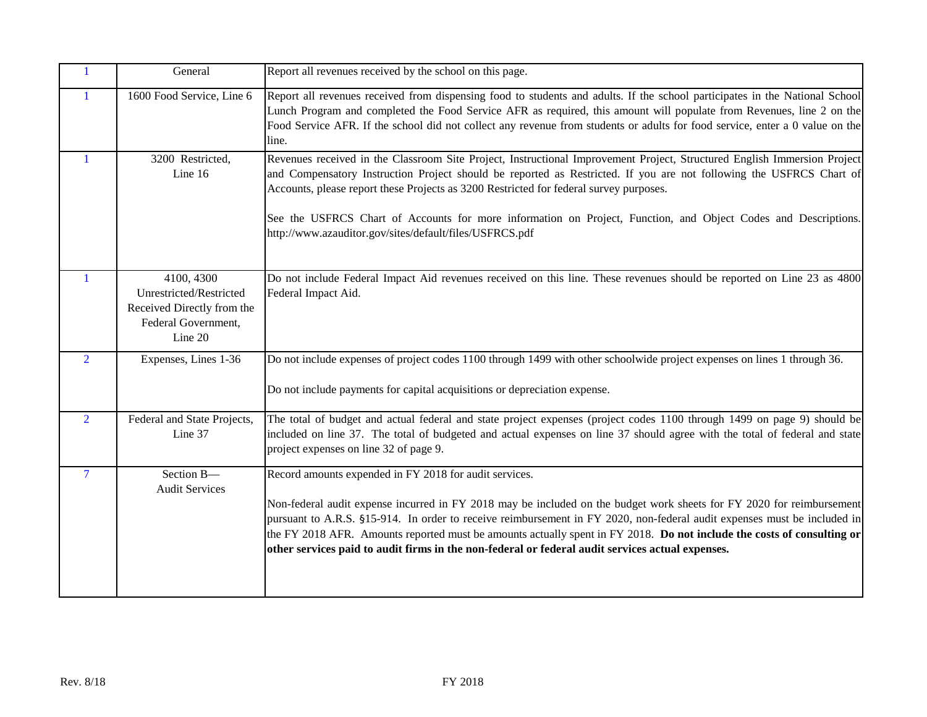| $\mathbf{1}$   | General                                                                                               | Report all revenues received by the school on this page.                                                                                                                                                                                                                                                                                                                                                                                                                                                                                  |
|----------------|-------------------------------------------------------------------------------------------------------|-------------------------------------------------------------------------------------------------------------------------------------------------------------------------------------------------------------------------------------------------------------------------------------------------------------------------------------------------------------------------------------------------------------------------------------------------------------------------------------------------------------------------------------------|
| $\mathbf{1}$   | 1600 Food Service, Line 6                                                                             | Report all revenues received from dispensing food to students and adults. If the school participates in the National School<br>Lunch Program and completed the Food Service AFR as required, this amount will populate from Revenues, line 2 on the<br>Food Service AFR. If the school did not collect any revenue from students or adults for food service, enter a 0 value on the<br>line.                                                                                                                                              |
| $\mathbf{1}$   | 3200 Restricted,<br>Line 16                                                                           | Revenues received in the Classroom Site Project, Instructional Improvement Project, Structured English Immersion Project<br>and Compensatory Instruction Project should be reported as Restricted. If you are not following the USFRCS Chart of<br>Accounts, please report these Projects as 3200 Restricted for federal survey purposes.<br>See the USFRCS Chart of Accounts for more information on Project, Function, and Object Codes and Descriptions.<br>http://www.azauditor.gov/sites/default/files/USFRCS.pdf                    |
| 1              | 4100, 4300<br>Unrestricted/Restricted<br>Received Directly from the<br>Federal Government,<br>Line 20 | Do not include Federal Impact Aid revenues received on this line. These revenues should be reported on Line 23 as 4800<br>Federal Impact Aid.                                                                                                                                                                                                                                                                                                                                                                                             |
| $\overline{2}$ | Expenses, Lines 1-36                                                                                  | Do not include expenses of project codes 1100 through 1499 with other schoolwide project expenses on lines 1 through 36.<br>Do not include payments for capital acquisitions or depreciation expense.                                                                                                                                                                                                                                                                                                                                     |
| $\overline{2}$ | Federal and State Projects,<br>Line 37                                                                | The total of budget and actual federal and state project expenses (project codes 1100 through 1499 on page 9) should be<br>included on line 37. The total of budgeted and actual expenses on line 37 should agree with the total of federal and state<br>project expenses on line 32 of page 9.                                                                                                                                                                                                                                           |
| $\overline{7}$ | Section B-<br><b>Audit Services</b>                                                                   | Record amounts expended in FY 2018 for audit services.<br>Non-federal audit expense incurred in FY 2018 may be included on the budget work sheets for FY 2020 for reimbursement<br>pursuant to A.R.S. §15-914. In order to receive reimbursement in FY 2020, non-federal audit expenses must be included in<br>the FY 2018 AFR. Amounts reported must be amounts actually spent in FY 2018. Do not include the costs of consulting or<br>other services paid to audit firms in the non-federal or federal audit services actual expenses. |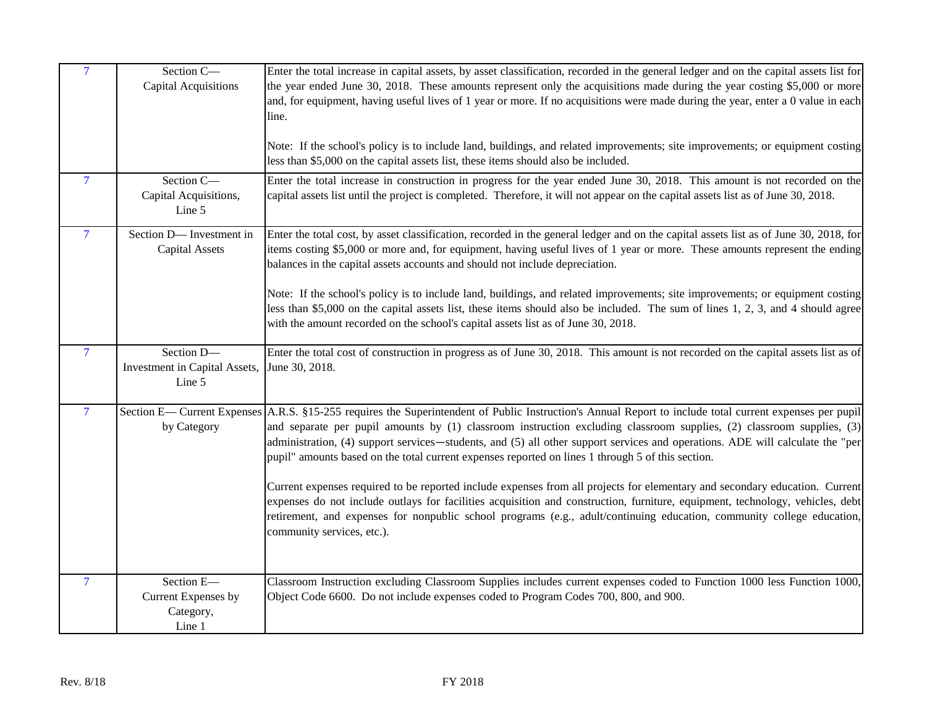| $\overline{7}$           | Section C-<br><b>Capital Acquisitions</b>                | Enter the total increase in capital assets, by asset classification, recorded in the general ledger and on the capital assets list for<br>the year ended June 30, 2018. These amounts represent only the acquisitions made during the year costing \$5,000 or more<br>and, for equipment, having useful lives of 1 year or more. If no acquisitions were made during the year, enter a 0 value in each<br>line.<br>Note: If the school's policy is to include land, buildings, and related improvements; site improvements; or equipment costing<br>less than \$5,000 on the capital assets list, these items should also be included.                                                                                                                                                                                                                                                                                                          |
|--------------------------|----------------------------------------------------------|-------------------------------------------------------------------------------------------------------------------------------------------------------------------------------------------------------------------------------------------------------------------------------------------------------------------------------------------------------------------------------------------------------------------------------------------------------------------------------------------------------------------------------------------------------------------------------------------------------------------------------------------------------------------------------------------------------------------------------------------------------------------------------------------------------------------------------------------------------------------------------------------------------------------------------------------------|
| $\overline{\mathcal{L}}$ | Section C-<br>Capital Acquisitions,<br>Line 5            | Enter the total increase in construction in progress for the year ended June 30, 2018. This amount is not recorded on the<br>capital assets list until the project is completed. Therefore, it will not appear on the capital assets list as of June 30, 2018.                                                                                                                                                                                                                                                                                                                                                                                                                                                                                                                                                                                                                                                                                  |
| $\overline{7}$           | Section D-Investment in<br><b>Capital Assets</b>         | Enter the total cost, by asset classification, recorded in the general ledger and on the capital assets list as of June 30, 2018, for<br>items costing \$5,000 or more and, for equipment, having useful lives of 1 year or more. These amounts represent the ending<br>balances in the capital assets accounts and should not include depreciation.<br>Note: If the school's policy is to include land, buildings, and related improvements; site improvements; or equipment costing<br>less than \$5,000 on the capital assets list, these items should also be included. The sum of lines 1, 2, 3, and 4 should agree<br>with the amount recorded on the school's capital assets list as of June 30, 2018.                                                                                                                                                                                                                                   |
| $\overline{7}$           | Section D-<br>Investment in Capital Assets,<br>Line 5    | Enter the total cost of construction in progress as of June 30, 2018. This amount is not recorded on the capital assets list as of<br>June 30, 2018.                                                                                                                                                                                                                                                                                                                                                                                                                                                                                                                                                                                                                                                                                                                                                                                            |
| $\overline{7}$           | by Category                                              | Section E— Current Expenses A.R.S. §15-255 requires the Superintendent of Public Instruction's Annual Report to include total current expenses per pupil<br>and separate per pupil amounts by (1) classroom instruction excluding classroom supplies, (2) classroom supplies, (3)<br>administration, (4) support services—students, and (5) all other support services and operations. ADE will calculate the "per<br>pupil" amounts based on the total current expenses reported on lines 1 through 5 of this section.<br>Current expenses required to be reported include expenses from all projects for elementary and secondary education. Current<br>expenses do not include outlays for facilities acquisition and construction, furniture, equipment, technology, vehicles, debt<br>retirement, and expenses for nonpublic school programs (e.g., adult/continuing education, community college education,<br>community services, etc.). |
| $\overline{7}$           | Section E-<br>Current Expenses by<br>Category,<br>Line 1 | Classroom Instruction excluding Classroom Supplies includes current expenses coded to Function 1000 less Function 1000,<br>Object Code 6600. Do not include expenses coded to Program Codes 700, 800, and 900.                                                                                                                                                                                                                                                                                                                                                                                                                                                                                                                                                                                                                                                                                                                                  |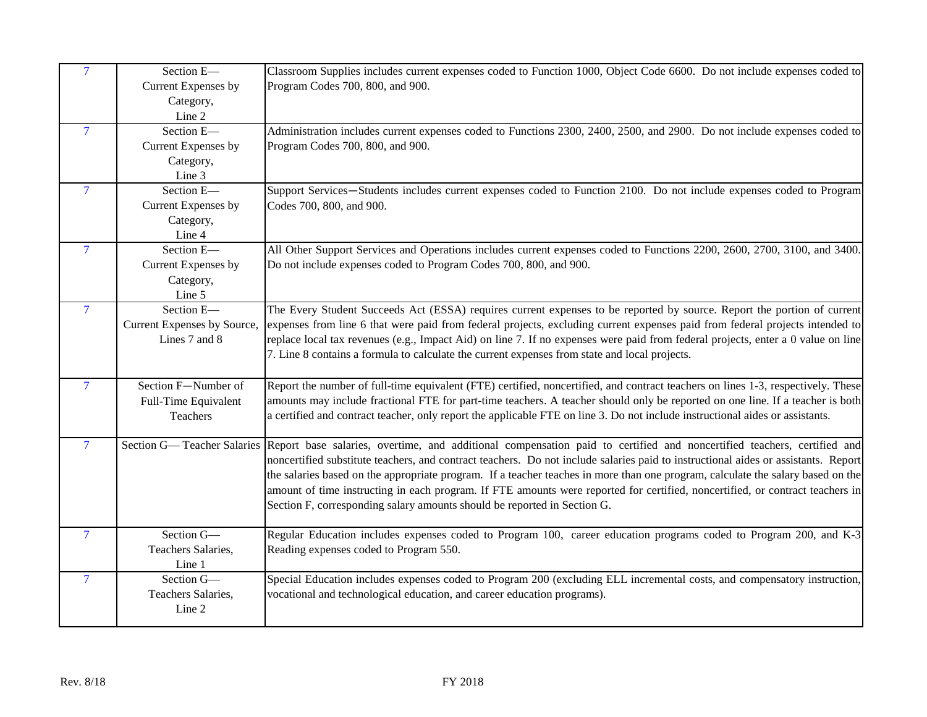| $\overline{7}$           | Section E-<br>Current Expenses by<br>Category,<br>Line 2   | Classroom Supplies includes current expenses coded to Function 1000, Object Code 6600. Do not include expenses coded to<br>Program Codes 700, 800, and 900.                                                                                                                                                                                                                                                                                                                                                                                                                                                                              |
|--------------------------|------------------------------------------------------------|------------------------------------------------------------------------------------------------------------------------------------------------------------------------------------------------------------------------------------------------------------------------------------------------------------------------------------------------------------------------------------------------------------------------------------------------------------------------------------------------------------------------------------------------------------------------------------------------------------------------------------------|
| $\overline{7}$           | Section E-<br>Current Expenses by<br>Category,<br>Line 3   | Administration includes current expenses coded to Functions 2300, 2400, 2500, and 2900. Do not include expenses coded to<br>Program Codes 700, 800, and 900.                                                                                                                                                                                                                                                                                                                                                                                                                                                                             |
| $\overline{7}$           | Section E-<br>Current Expenses by<br>Category,<br>Line 4   | Support Services-Students includes current expenses coded to Function 2100. Do not include expenses coded to Program<br>Codes 700, 800, and 900.                                                                                                                                                                                                                                                                                                                                                                                                                                                                                         |
| $\overline{\mathcal{L}}$ | Section E-<br>Current Expenses by<br>Category,<br>Line 5   | All Other Support Services and Operations includes current expenses coded to Functions 2200, 2600, 2700, 3100, and 3400.<br>Do not include expenses coded to Program Codes 700, 800, and 900.                                                                                                                                                                                                                                                                                                                                                                                                                                            |
| $\overline{7}$           | Section E-<br>Current Expenses by Source,<br>Lines 7 and 8 | The Every Student Succeeds Act (ESSA) requires current expenses to be reported by source. Report the portion of current<br>expenses from line 6 that were paid from federal projects, excluding current expenses paid from federal projects intended to<br>replace local tax revenues (e.g., Impact Aid) on line 7. If no expenses were paid from federal projects, enter a 0 value on line<br>7. Line 8 contains a formula to calculate the current expenses from state and local projects.                                                                                                                                             |
| $\overline{7}$           | Section F-Number of<br>Full-Time Equivalent<br>Teachers    | Report the number of full-time equivalent (FTE) certified, noncertified, and contract teachers on lines 1-3, respectively. These<br>amounts may include fractional FTE for part-time teachers. A teacher should only be reported on one line. If a teacher is both<br>a certified and contract teacher, only report the applicable FTE on line 3. Do not include instructional aides or assistants.                                                                                                                                                                                                                                      |
| $\overline{7}$           |                                                            | Section G— Teacher Salaries Report base salaries, overtime, and additional compensation paid to certified and noncertified teachers, certified and<br>noncertified substitute teachers, and contract teachers. Do not include salaries paid to instructional aides or assistants. Report<br>the salaries based on the appropriate program. If a teacher teaches in more than one program, calculate the salary based on the<br>amount of time instructing in each program. If FTE amounts were reported for certified, noncertified, or contract teachers in<br>Section F, corresponding salary amounts should be reported in Section G. |
| $\overline{7}$           | Section G-<br>Teachers Salaries,<br>Line 1                 | Regular Education includes expenses coded to Program 100, career education programs coded to Program 200, and K-3<br>Reading expenses coded to Program 550.                                                                                                                                                                                                                                                                                                                                                                                                                                                                              |
| $\overline{7}$           | Section G-<br>Teachers Salaries,<br>Line 2                 | Special Education includes expenses coded to Program 200 (excluding ELL incremental costs, and compensatory instruction,<br>vocational and technological education, and career education programs).                                                                                                                                                                                                                                                                                                                                                                                                                                      |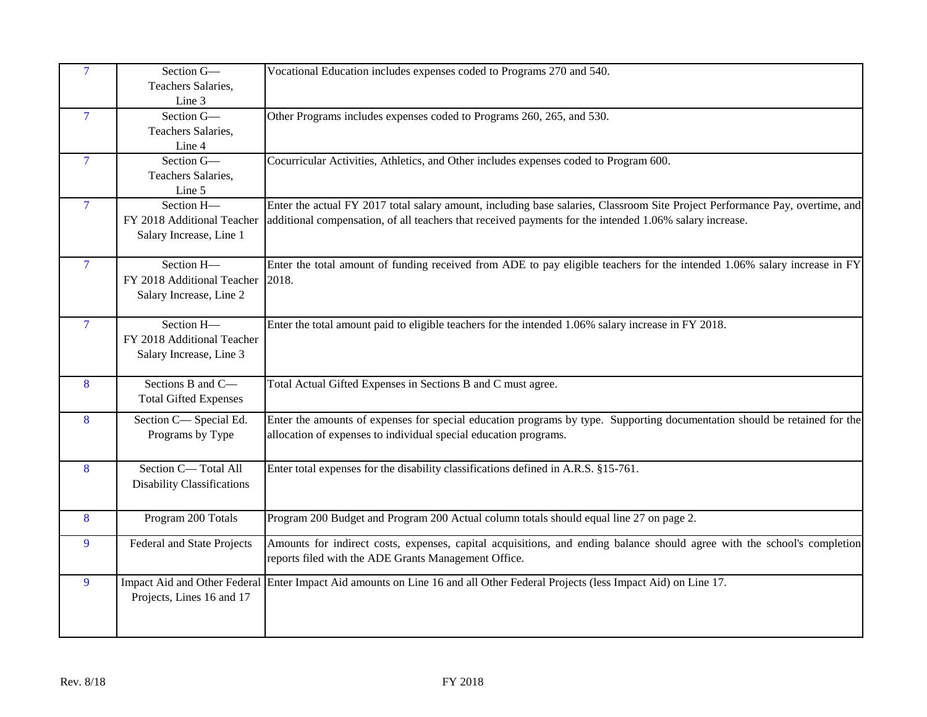| $\overline{7}$ | Section G-<br>Teachers Salaries,<br>Line 3                          | Vocational Education includes expenses coded to Programs 270 and 540.                                                                                                                                                                   |
|----------------|---------------------------------------------------------------------|-----------------------------------------------------------------------------------------------------------------------------------------------------------------------------------------------------------------------------------------|
| $\overline{7}$ | Section G-<br>Teachers Salaries,<br>Line 4                          | Other Programs includes expenses coded to Programs 260, 265, and 530.                                                                                                                                                                   |
| $\overline{7}$ | Section G-<br>Teachers Salaries,<br>Line 5                          | Cocurricular Activities, Athletics, and Other includes expenses coded to Program 600.                                                                                                                                                   |
| $\overline{7}$ | Section H-<br>FY 2018 Additional Teacher<br>Salary Increase, Line 1 | Enter the actual FY 2017 total salary amount, including base salaries, Classroom Site Project Performance Pay, overtime, and<br>additional compensation, of all teachers that received payments for the intended 1.06% salary increase. |
| $\overline{7}$ | Section H-<br>FY 2018 Additional Teacher<br>Salary Increase, Line 2 | Enter the total amount of funding received from ADE to pay eligible teachers for the intended 1.06% salary increase in FY<br>2018.                                                                                                      |
| $\overline{7}$ | Section H-<br>FY 2018 Additional Teacher<br>Salary Increase, Line 3 | Enter the total amount paid to eligible teachers for the intended 1.06% salary increase in FY 2018.                                                                                                                                     |
| 8              | Sections B and C-<br><b>Total Gifted Expenses</b>                   | Total Actual Gifted Expenses in Sections B and C must agree.                                                                                                                                                                            |
| 8              | Section C-Special Ed.<br>Programs by Type                           | Enter the amounts of expenses for special education programs by type. Supporting documentation should be retained for the<br>allocation of expenses to individual special education programs.                                           |
| 8              | Section C-Total All<br><b>Disability Classifications</b>            | Enter total expenses for the disability classifications defined in A.R.S. §15-761.                                                                                                                                                      |
| 8              | Program 200 Totals                                                  | Program 200 Budget and Program 200 Actual column totals should equal line 27 on page 2.                                                                                                                                                 |
| 9              | <b>Federal and State Projects</b>                                   | Amounts for indirect costs, expenses, capital acquisitions, and ending balance should agree with the school's completion<br>reports filed with the ADE Grants Management Office.                                                        |
| 9              | Projects, Lines 16 and 17                                           | Impact Aid and Other Federal Enter Impact Aid amounts on Line 16 and all Other Federal Projects (less Impact Aid) on Line 17.                                                                                                           |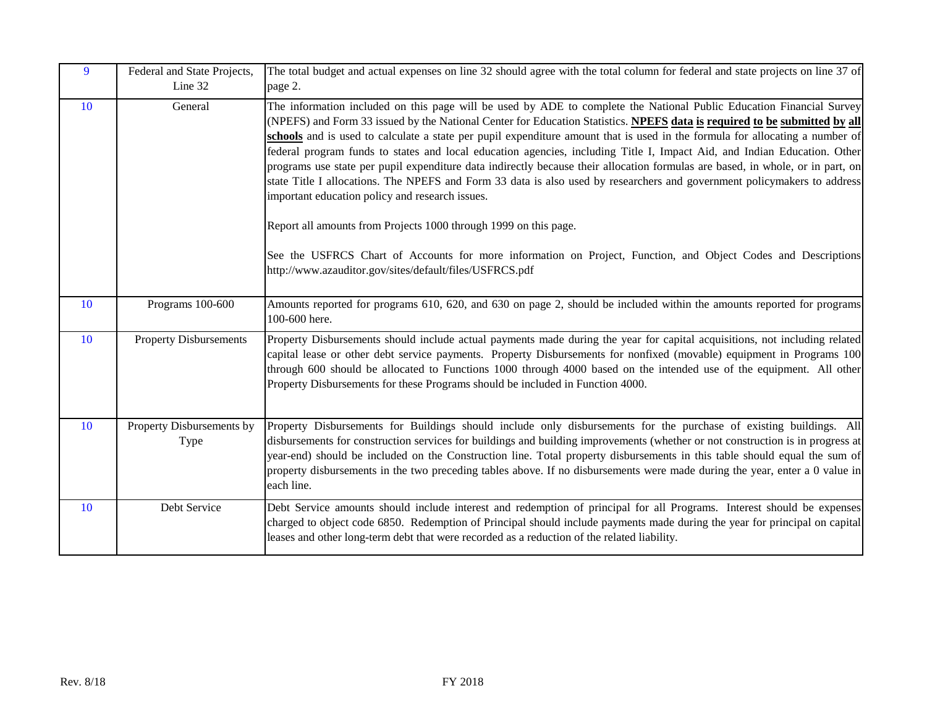| 9  | Federal and State Projects,<br>Line 32 | The total budget and actual expenses on line 32 should agree with the total column for federal and state projects on line 37 of<br>page 2.                                                                                                                                                                                                                                                                                                                                                                                                                                                                                                                                                                                                                                                                                                                                                         |
|----|----------------------------------------|----------------------------------------------------------------------------------------------------------------------------------------------------------------------------------------------------------------------------------------------------------------------------------------------------------------------------------------------------------------------------------------------------------------------------------------------------------------------------------------------------------------------------------------------------------------------------------------------------------------------------------------------------------------------------------------------------------------------------------------------------------------------------------------------------------------------------------------------------------------------------------------------------|
| 10 | General                                | The information included on this page will be used by ADE to complete the National Public Education Financial Survey<br>(NPEFS) and Form 33 issued by the National Center for Education Statistics. NPEFS data is required to be submitted by all<br>schools and is used to calculate a state per pupil expenditure amount that is used in the formula for allocating a number of<br>federal program funds to states and local education agencies, including Title I, Impact Aid, and Indian Education. Other<br>programs use state per pupil expenditure data indirectly because their allocation formulas are based, in whole, or in part, on<br>state Title I allocations. The NPEFS and Form 33 data is also used by researchers and government policymakers to address<br>important education policy and research issues.<br>Report all amounts from Projects 1000 through 1999 on this page. |
|    |                                        | See the USFRCS Chart of Accounts for more information on Project, Function, and Object Codes and Descriptions<br>http://www.azauditor.gov/sites/default/files/USFRCS.pdf                                                                                                                                                                                                                                                                                                                                                                                                                                                                                                                                                                                                                                                                                                                           |
| 10 | Programs 100-600                       | Amounts reported for programs 610, 620, and 630 on page 2, should be included within the amounts reported for programs<br>100-600 here.                                                                                                                                                                                                                                                                                                                                                                                                                                                                                                                                                                                                                                                                                                                                                            |
| 10 | <b>Property Disbursements</b>          | Property Disbursements should include actual payments made during the year for capital acquisitions, not including related<br>capital lease or other debt service payments. Property Disbursements for nonfixed (movable) equipment in Programs 100<br>through 600 should be allocated to Functions 1000 through 4000 based on the intended use of the equipment. All other<br>Property Disbursements for these Programs should be included in Function 4000.                                                                                                                                                                                                                                                                                                                                                                                                                                      |
| 10 | Property Disbursements by<br>Type      | Property Disbursements for Buildings should include only disbursements for the purchase of existing buildings. All<br>disbursements for construction services for buildings and building improvements (whether or not construction is in progress at<br>year-end) should be included on the Construction line. Total property disbursements in this table should equal the sum of<br>property disbursements in the two preceding tables above. If no disbursements were made during the year, enter a 0 value in<br>each line.                                                                                                                                                                                                                                                                                                                                                                     |
| 10 | Debt Service                           | Debt Service amounts should include interest and redemption of principal for all Programs. Interest should be expenses<br>charged to object code 6850. Redemption of Principal should include payments made during the year for principal on capital<br>leases and other long-term debt that were recorded as a reduction of the related liability.                                                                                                                                                                                                                                                                                                                                                                                                                                                                                                                                                |